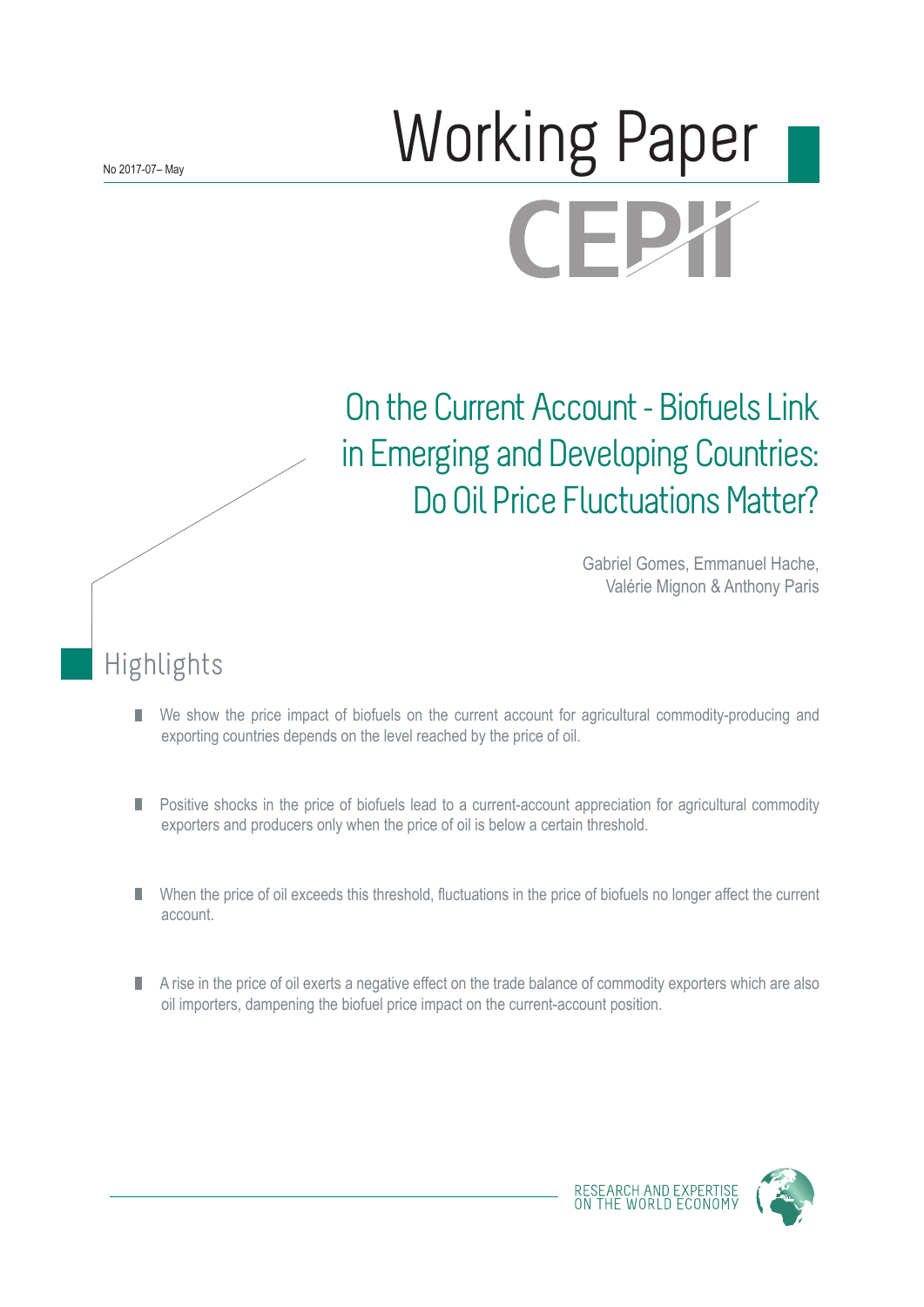# Norking Paper **CEPX**

## On the Current Account - Biofuels Link in Emerging and Developing Countries: Do Oil Price Fluctuations Matter?

Gabriel Gomes, Emmanuel Hache, Valérie Mignon & Anthony Paris

## Highlights

- We show the price impact of biofuels on the current account for agricultural commodity-producing and П exporting countries depends on the level reached by the price of oil.
- Positive shocks in the price of biofuels lead to a current-account appreciation for agricultural commodity П exporters and producers only when the price of oil is below a certain threshold.
- When the price of oil exceeds this threshold, fluctuations in the price of biofuels no longer affect the current account.
- A rise in the price of oil exerts a negative effect on the trade balance of commodity exporters which are also П oil importers, dampening the biofuel price impact on the current-account position.



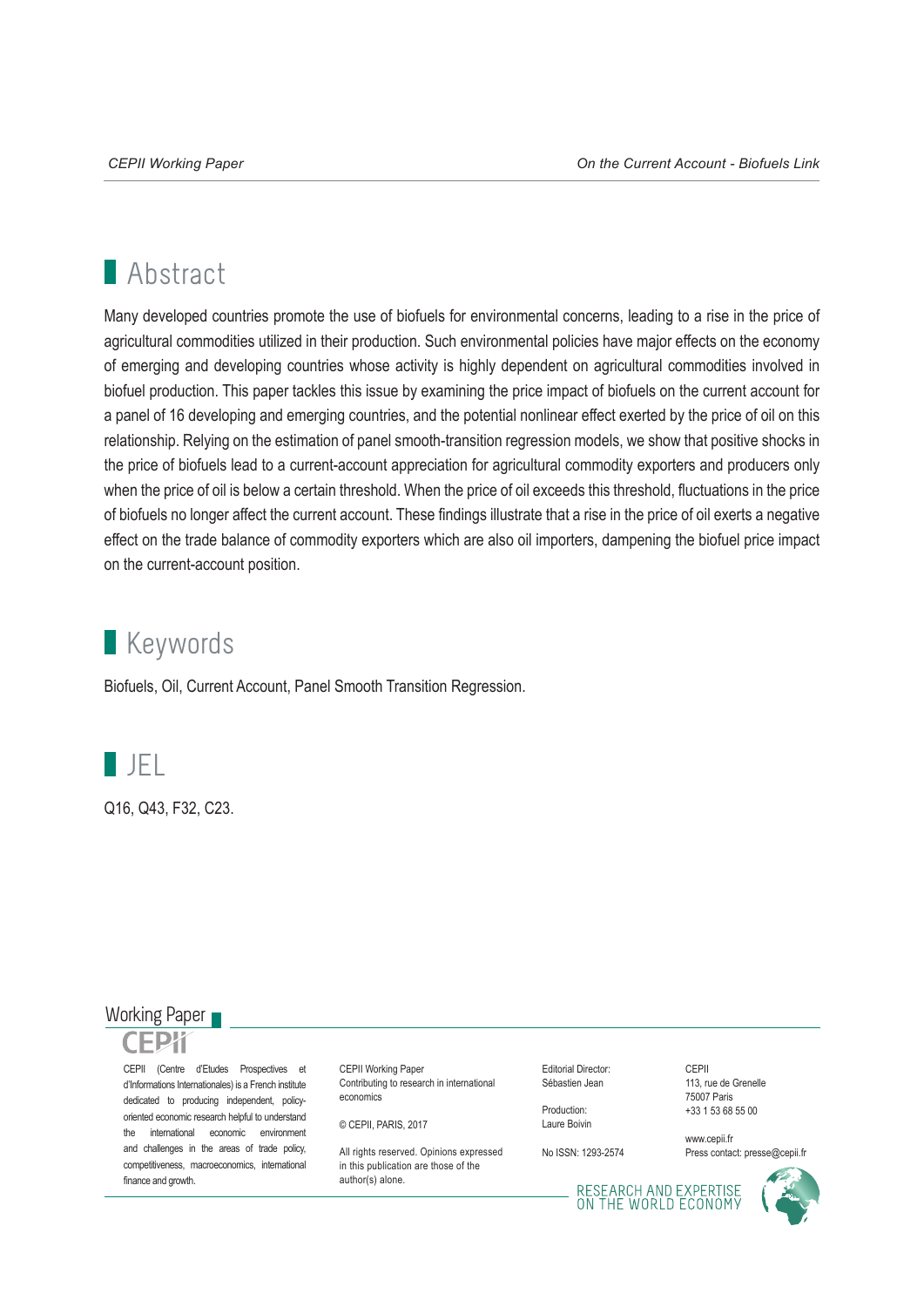## **Abstract**

Many developed countries promote the use of biofuels for environmental concerns, leading to a rise in the price of agricultural commodities utilized in their production. Such environmental policies have major effects on the economy of emerging and developing countries whose activity is highly dependent on agricultural commodities involved in biofuel production. This paper tackles this issue by examining the price impact of biofuels on the current account for a panel of 16 developing and emerging countries, and the potential nonlinear effect exerted by the price of oil on this relationship. Relying on the estimation of panel smooth-transition regression models, we show that positive shocks in the price of biofuels lead to a current-account appreciation for agricultural commodity exporters and producers only when the price of oil is below a certain threshold. When the price of oil exceeds this threshold, fluctuations in the price of biofuels no longer affect the current account. These findings illustrate that a rise in the price of oil exerts a negative effect on the trade balance of commodity exporters which are also oil importers, dampening the biofuel price impact on the current-account position.

## **Keywords**

Biofuels, Oil, Current Account, Panel Smooth Transition Regression.



Q16, Q43, F32, C23.

### Working Paper

CEPII (Centre d'Etudes Prospectives et d'Informations Internationales) is a French institute dedicated to producing independent, policyoriented economic research helpful to understand the international economic environment and challenges in the areas of trade policy, competitiveness, macroeconomics, international finance and growth.

CEPII Working Paper Contributing to research in international economics

© CEPII, PARIS, 2017

All rights reserved. Opinions expressed. in this publication are those of the author(s) alone.

Editorial Director: Sébastien Jean

Production: Laure Boivin

No ISSN: 1293-2574

CEPII 113, rue de Grenelle 75007 Paris +33 1 53 68 55 00

www.cepii.fr Press contact: presse@cepii.fr

RESEARCH AND EXPERTISE<br>ON THE WORLD ECONOMY

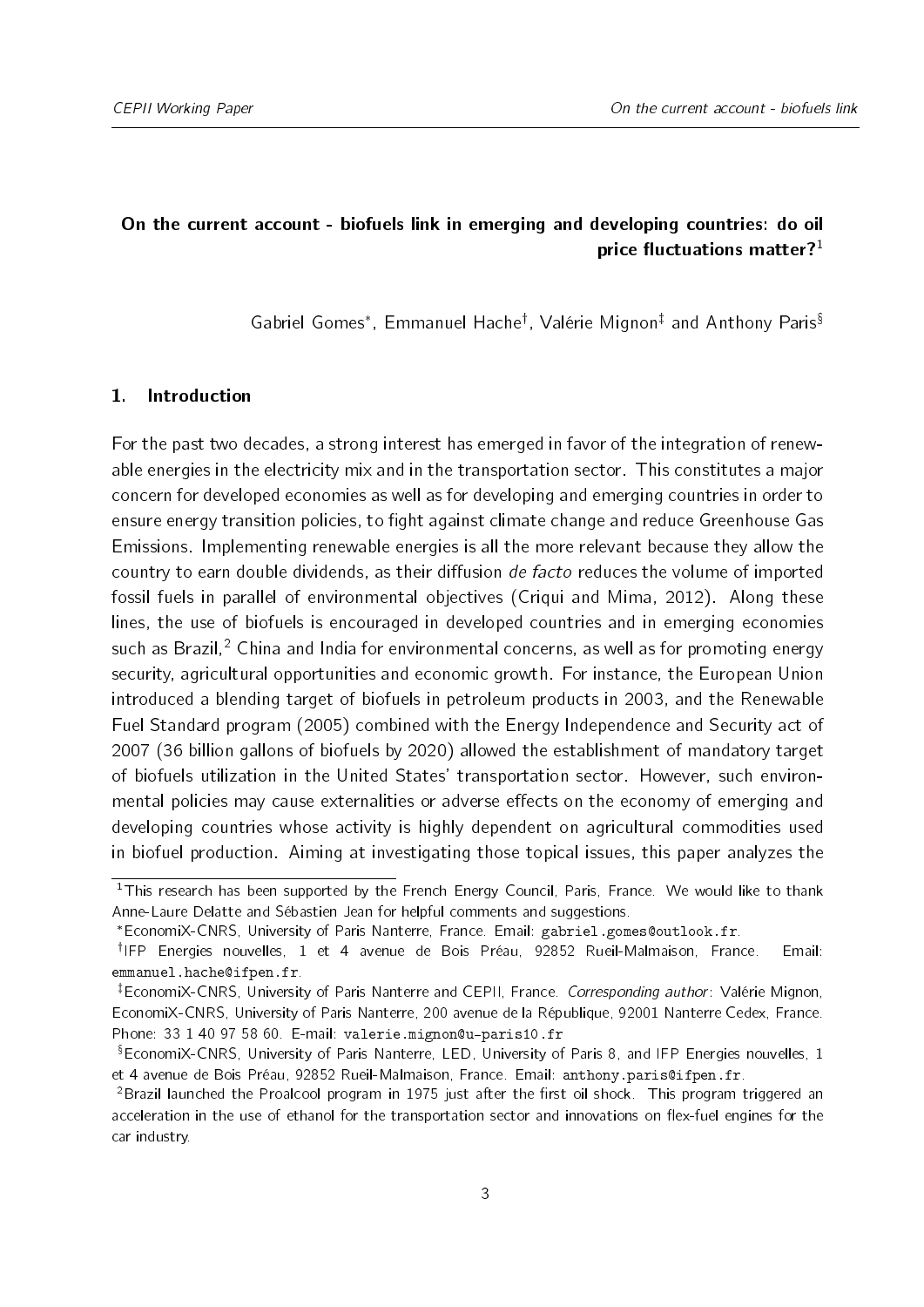### On the current account - biofuels link in emerging and developing countries: do oil price fluctuations matter? $1$

Gabriel Gomes\*, Emmanuel Hache<sup>†</sup>, Valérie Mignon<sup>‡</sup> and Anthon[y](#page-2-2) Paris<sup>§</sup>

#### 1. Introduction

For the past two decades, a strong interest has emerged in favor of the integration of renewable energies in the electricity mix and in the transportation sector. This constitutes a major concern for developed economies as well as for developing and emerging countries in order to ensure energy transition policies, to fight against climate change and reduce Greenhouse Gas Emissions. Implementing renewable energies is all the more relevant because they allow the country to earn double dividends, as their diffusion de facto reduces the volume of imported fossil fuels in parallel of environmental objectives [\(Criqui and Mima,](#page-21-0) [2012\)](#page-21-0). Along these lines, the use of biofuels is encouraged in developed countries and in emerging economies such as Brazil,<sup>[2](#page-2-5)</sup> China and India for environmental concerns, as well as for promoting energy security, agricultural opportunities and economic growth. For instance, the European Union introduced a blending target of biofuels in petroleum products in 2003, and the Renewable Fuel Standard program (2005) combined with the Energy Independence and Security act of 2007 (36 billion gallons of biofuels by 2020) allowed the establishment of mandatory target of biofuels utilization in the United States' transportation sector. However, such environmental policies may cause externalities or adverse effects on the economy of emerging and developing countries whose activity is highly dependent on agricultural commodities used in biofuel production. Aiming at investigating those topical issues, this paper analyzes the

<span id="page-2-0"></span> $1$ This research has been supported by the French Energy Council, Paris, France. We would like to thank Anne-Laure Delatte and Sébastien Jean for helpful comments and suggestions.

<span id="page-2-2"></span><span id="page-2-1"></span>EconomiX-CNRS, University of Paris Nanterre, France. Email: gabriel.gomes@outlook.fr.

<sup>&</sup>lt;sup>†</sup>IFP Energies nouvelles, 1 et 4 avenue de Bois Préau, 92852 Rueil-Malmaison, France. Email: emmanuel.hache@ifpen.fr.

<span id="page-2-3"></span><sup>&</sup>lt;sup>‡</sup>EconomiX-CNRS, University of Paris Nanterre and CEPII, France. Corresponding author: Valérie Mignon, EconomiX-CNRS, University of Paris Nanterre, 200 avenue de la République, 92001 Nanterre Cedex, France. Phone: 33 1 40 97 58 60. E-mail: valerie.mignon@u-paris10.fr

<span id="page-2-4"></span>EconomiX-CNRS, University of Paris Nanterre, LED, University of Paris 8, and IFP Energies nouvelles, 1 et 4 avenue de Bois Préau, 92852 Rueil-Malmaison, France. Email: anthony.paris@ifpen.fr.

<span id="page-2-5"></span> $2B$ razil launched the Proalcool program in 1975 just after the first oil shock. This program triggered an acceleration in the use of ethanol for the transportation sector and innovations on flex-fuel engines for the car industry.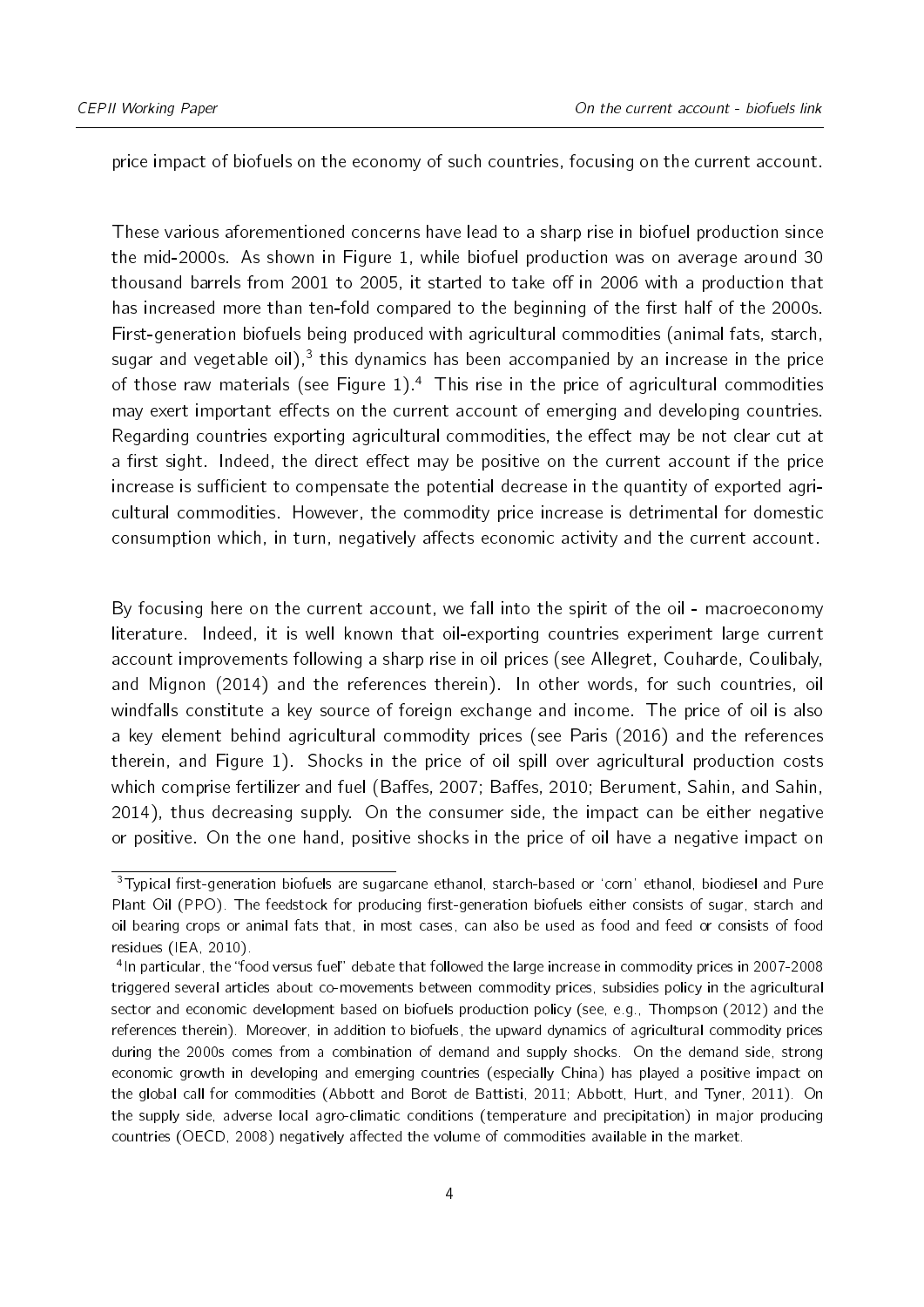price impact of biofuels on the economy of such countries, focusing on the current account.

These various aforementioned concerns have lead to a sharp rise in biofuel production since the mid-2000s. As shown in Figure [1,](#page-4-0) while biofuel production was on average around 30 thousand barrels from 2001 to 2005, it started to take off in 2006 with a production that has increased more than ten-fold compared to the beginning of the first half of the 2000s. First-generation biofuels being produced with agricultural commodities (animal fats, starch, sugar and vegetable oil), $^3$  $^3$  this dynamics has been accompanied by an increase in the price of those raw materials (see Figure [1\)](#page-4-0).<sup>[4](#page-3-1)</sup> This rise in the price of agricultural commodities may exert important effects on the current account of emerging and developing countries. Regarding countries exporting agricultural commodities, the effect may be not clear cut at a first sight. Indeed, the direct effect may be positive on the current account if the price increase is sufficient to compensate the potential decrease in the quantity of exported agricultural commodities. However, the commodity price increase is detrimental for domestic consumption which, in turn, negatively affects economic activity and the current account.

By focusing here on the current account, we fall into the spirit of the oil - macroeconomy literature. Indeed, it is well known that oil-exporting countries experiment large current account improvements following a sharp rise in oil prices (see [Allegret, Couharde, Coulibaly,](#page-20-0) [and Mignon](#page-20-0) [\(2014\)](#page-20-0) and the references therein). In other words, for such countries, oil windfalls constitute a key source of foreign exchange and income. The price of oil is also a key element behind agricultural commodity prices (see [Paris](#page-21-1) [\(2016\)](#page-21-1) and the references therein, and Figure [1\)](#page-4-0). Shocks in the price of oil spill over agricultural production costs which comprise fertilizer and fuel (Baffes, [2007;](#page-20-1) Baffes, [2010;](#page-20-2) [Berument, Sahin, and Sahin,](#page-20-3) [2014\)](#page-20-3), thus decreasing supply. On the consumer side, the impact can be either negative or positive. On the one hand, positive shocks in the price of oil have a negative impact on

<span id="page-3-0"></span><sup>&</sup>lt;sup>3</sup>Typical first-generation biofuels are sugarcane ethanol, starch-based or 'corn' ethanol, biodiesel and Pure Plant Oil (PPO). The feedstock for producing first-generation biofuels either consists of sugar, starch and oil bearing crops or animal fats that, in most cases, can also be used as food and feed or consists of food residues [\(IEA,](#page-21-2) [2010\)](#page-21-2).

<span id="page-3-1"></span><sup>&</sup>lt;sup>4</sup>In particular, the "food versus fuel" debate that followed the large increase in commodity prices in 2007-2008 triggered several articles about co-movements between commodity prices, subsidies policy in the agricultural sector and economic development based on biofuels production policy (see, e.g., [Thompson](#page-21-3) [\(2012\)](#page-21-3) and the references therein). Moreover, in addition to biofuels, the upward dynamics of agricultural commodity prices during the 2000s comes from a combination of demand and supply shocks. On the demand side, strong economic growth in developing and emerging countries (especially China) has played a positive impact on the global call for commodities [\(Abbott and Borot de Battisti,](#page-19-0) [2011;](#page-19-0) [Abbott, Hurt, and Tyner,](#page-20-4) [2011\)](#page-20-4). On the supply side, adverse local agro-climatic conditions (temperature and precipitation) in major producing countries [\(OECD,](#page-21-4) [2008\)](#page-21-4) negatively affected the volume of commodities available in the market.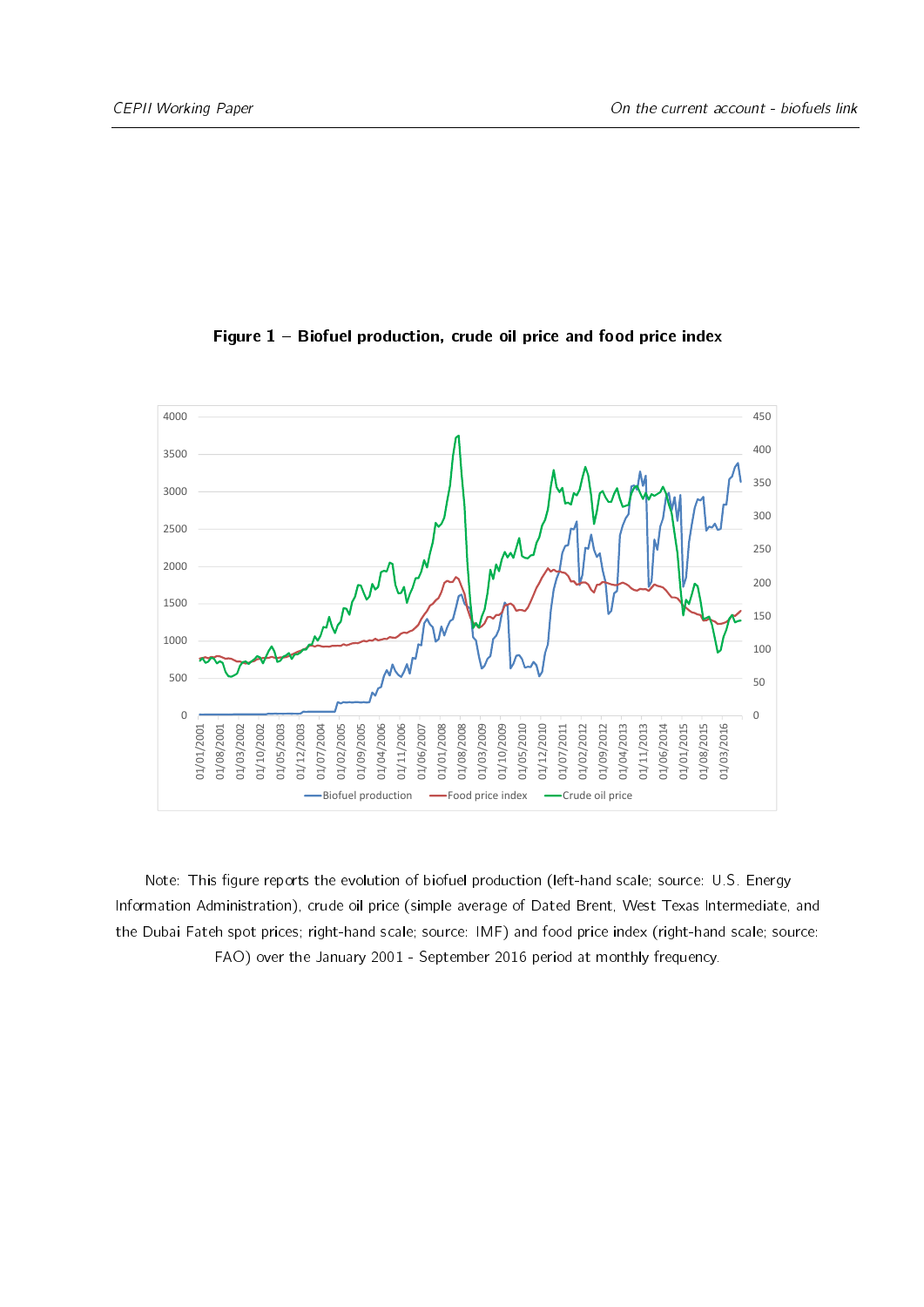<span id="page-4-0"></span>

Figure  $1$  – Biofuel production, crude oil price and food price index

Note: This figure reports the evolution of biofuel production (left-hand scale; source: U.S. Energy Information Administration), crude oil price (simple average of Dated Brent, West Texas Intermediate, and the Dubai Fateh spot prices; right-hand scale; source: IMF) and food price index (right-hand scale; source: FAO) over the January 2001 - September 2016 period at monthly frequency.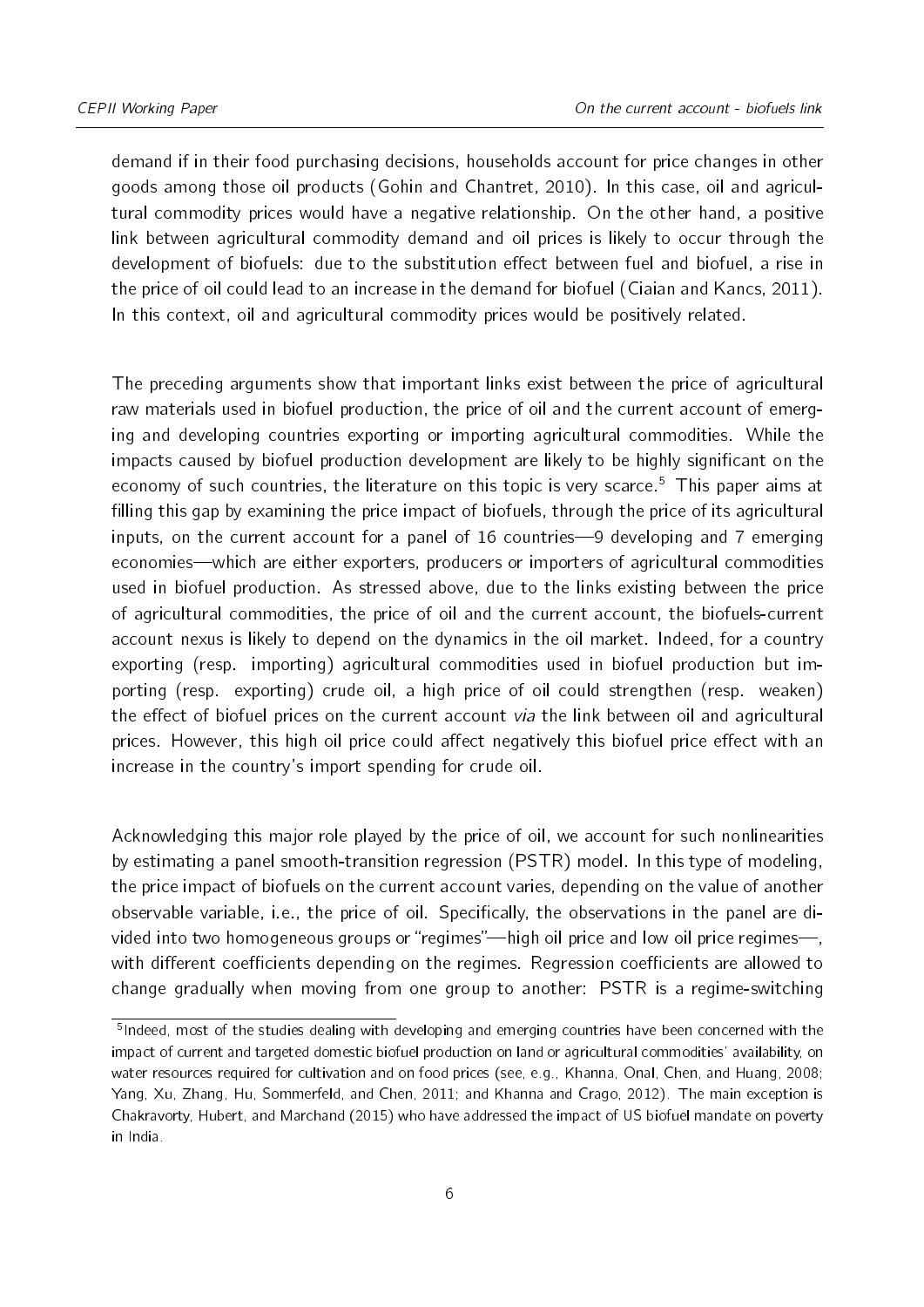demand if in their food purchasing decisions, households account for price changes in other goods among those oil products [\(Gohin and Chantret,](#page-21-5) [2010\)](#page-21-5). In this case, oil and agricultural commodity prices would have a negative relationship. On the other hand, a positive link between agricultural commodity demand and oil prices is likely to occur through the development of biofuels: due to the substitution effect between fuel and biofuel, a rise in the price of oil could lead to an increase in the demand for biofuel [\(Ciaian and Kancs,](#page-20-5) [2011\)](#page-20-5). In this context, oil and agricultural commodity prices would be positively related.

The preceding arguments show that important links exist between the price of agricultural raw materials used in biofuel production, the price of oil and the current account of emerging and developing countries exporting or importing agricultural commodities. While the impacts caused by biofuel production development are likely to be highly significant on the economy of such countries, the literature on this topic is very scarce.<sup>[5](#page-5-0)</sup> This paper aims at filling this gap by examining the price impact of biofuels, through the price of its agricultural inputs, on the current account for a panel of  $16$  countries—9 developing and  $7$  emerging economies—which are either exporters, producers or importers of agricultural commodities used in biofuel production. As stressed above, due to the links existing between the price of agricultural commodities, the price of oil and the current account, the biofuels-current account nexus is likely to depend on the dynamics in the oil market. Indeed, for a country exporting (resp. importing) agricultural commodities used in biofuel production but importing (resp. exporting) crude oil, a high price of oil could strengthen (resp. weaken) the effect of biofuel prices on the current account via the link between oil and agricultural prices. However, this high oil price could affect negatively this biofuel price effect with an increase in the country's import spending for crude oil.

Acknowledging this major role played by the price of oil, we account for such nonlinearities by estimating a panel smooth-transition regression (PSTR) model. In this type of modeling, the price impact of biofuels on the current account varies, depending on the value of another observable variable, i.e., the price of oil. Specifically, the observations in the panel are divided into two homogeneous groups or "regimes"—high oil price and low oil price regimes—, with different coefficients depending on the regimes. Regression coefficients are allowed to change gradually when moving from one group to another: PSTR is a regime-switching

<span id="page-5-0"></span><sup>&</sup>lt;sup>5</sup>Indeed, most of the studies dealing with developing and emerging countries have been concerned with the impact of current and targeted domestic biofuel production on land or agricultural commodities' availability, on water resources required for cultivation and on food prices (see, e.g., [Khanna, Onal, Chen, and Huang,](#page-21-6) [2008;](#page-21-6) [Yang, Xu, Zhang, Hu, Sommerfeld, and Chen,](#page-21-7) [2011;](#page-21-7) and [Khanna and Crago,](#page-21-8) [2012\)](#page-21-8). The main exception is [Chakravorty, Hubert, and Marchand](#page-20-6) [\(2015\)](#page-20-6) who have addressed the impact of US biofuel mandate on poverty in India.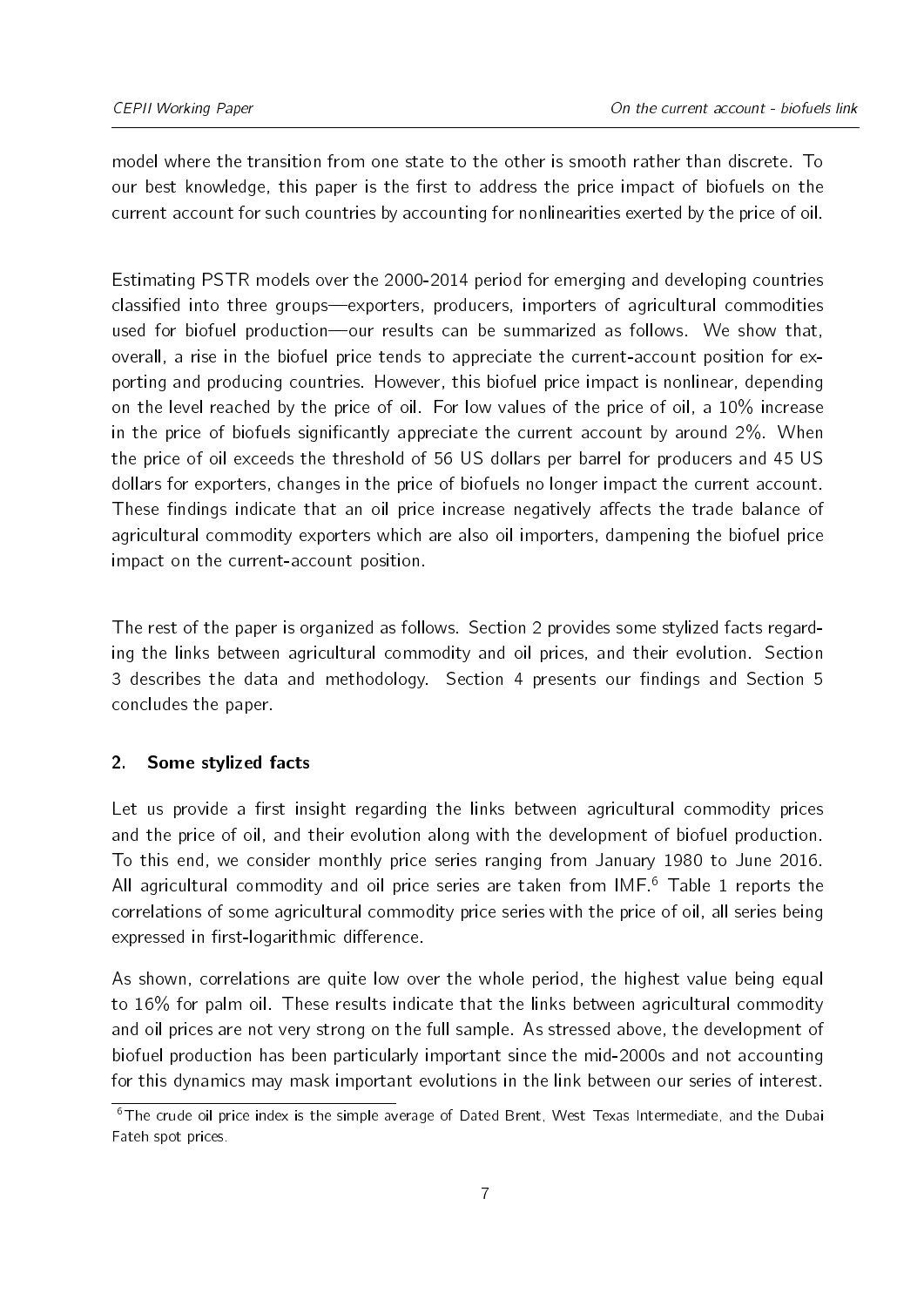model where the transition from one state to the other is smooth rather than discrete. To our best knowledge, this paper is the first to address the price impact of biofuels on the current account for such countries by accounting for nonlinearities exerted by the price of oil.

Estimating PSTR models over the 2000-2014 period for emerging and developing countries classified into three groups-exporters, producers, importers of agricultural commodities used for biofuel production-our results can be summarized as follows. We show that, overall, a rise in the biofuel price tends to appreciate the current-account position for exporting and producing countries. However, this biofuel price impact is nonlinear, depending on the level reached by the price of oil. For low values of the price of oil, a 10% increase in the price of biofuels significantly appreciate the current account by around  $2\%$ . When the price of oil exceeds the threshold of 56 US dollars per barrel for producers and 45 US dollars for exporters, changes in the price of biofuels no longer impact the current account. These findings indicate that an oil price increase negatively affects the trade balance of agricultural commodity exporters which are also oil importers, dampening the biofuel price impact on the current-account position.

The rest of the paper is organized as follows. Section [2](#page-6-0) provides some stylized facts regarding the links between agricultural commodity and oil prices, and their evolution. Section [3](#page-9-0) describes the data and methodology. Section [4](#page-13-0) presents our findings and Section [5](#page-18-0) concludes the paper.

#### <span id="page-6-0"></span>2. Some stylized facts

Let us provide a first insight regarding the links between agricultural commodity prices and the price of oil, and their evolution along with the development of biofuel production. To this end, we consider monthly price series ranging from January 1980 to June 2016. All agricultural commodity and oil price series are taken from  $IMF<sup>6</sup>$  $IMF<sup>6</sup>$  $IMF<sup>6</sup>$  Table [1](#page-7-0) reports the correlations of some agricultural commodity price series with the price of oil, all series being expressed in first-logarithmic difference.

As shown, correlations are quite low over the whole period, the highest value being equal to 16% for palm oil. These results indicate that the links between agricultural commodity and oil prices are not very strong on the full sample. As stressed above, the development of biofuel production has been particularly important since the mid-2000s and not accounting for this dynamics may mask important evolutions in the link between our series of interest.

<span id="page-6-1"></span><sup>&</sup>lt;sup>6</sup>The crude oil price index is the simple average of Dated Brent, West Texas Intermediate, and the Dubai Fateh spot prices.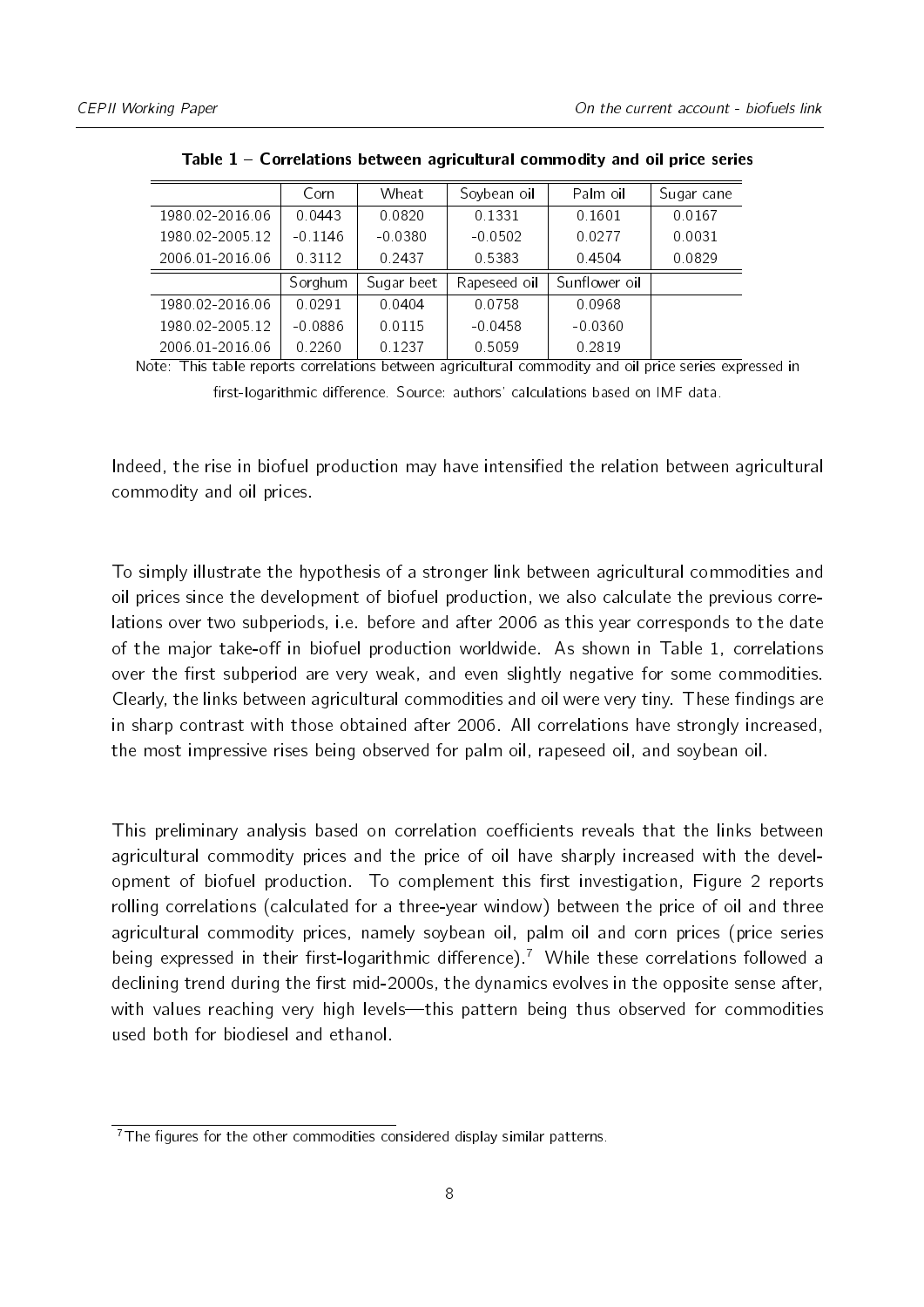<span id="page-7-0"></span>

|                 | Corn      | Wheat      | Soybean oil  | Palm oil      | Sugar cane |
|-----------------|-----------|------------|--------------|---------------|------------|
| 1980 02-2016 06 | 0.0443    | 0.0820     | 0.1331       | 0.1601        | 0.0167     |
| 1980 02-2005 12 | $-0.1146$ | $-0.0380$  | $-0.0502$    | 0.0277        | 0.0031     |
| 2006.01-2016.06 | 0.3112    | 0.2437     | 0.5383       | 0.4504        | 0.0829     |
|                 | Sorghum   | Sugar beet | Rapeseed oil | Sunflower oil |            |
| 1980 02-2016 06 | 0 0 2 9 1 | 0.0404     | 0.0758       | 0.0968        |            |
| 1980 02-2005 12 | $-0.0886$ | 0.0115     | $-0.0458$    | $-0.0360$     |            |
| 2006.01-2016.06 | 0.2260    | 0.1237     | 0.5059       | 0.2819        |            |

Table 1 Correlations between agricultural commodity and oil price series

Note: This table reports correlations between agricultural commodity and oil price series expressed in first-logarithmic difference. Source: authors' calculations based on IMF data.

Indeed, the rise in biofuel production may have intensified the relation between agricultural commodity and oil prices.

To simply illustrate the hypothesis of a stronger link between agricultural commodities and oil prices since the development of biofuel production, we also calculate the previous correlations over two subperiods, i.e. before and after 2006 as this year corresponds to the date of the major take-off in biofuel production worldwide. As shown in Table [1,](#page-7-0) correlations over the first subperiod are very weak, and even slightly negative for some commodities. Clearly, the links between agricultural commodities and oil were very tiny. These findings are in sharp contrast with those obtained after 2006. All correlations have strongly increased, the most impressive rises being observed for palm oil, rapeseed oil, and soybean oil.

This preliminary analysis based on correlation coefficients reveals that the links between agricultural commodity prices and the price of oil have sharply increased with the devel-opment of biofuel production. To complement this first investigation, Figure [2](#page-8-0) reports rolling correlations (calculated for a three-year window) between the price of oil and three agricultural commodity prices, namely soybean oil, palm oil and corn prices (price series being expressed in their first-logarithmic difference).<sup>[7](#page-7-1)</sup> While these correlations followed a declining trend during the first mid-2000s, the dynamics evolves in the opposite sense after, with values reaching very high levels—this pattern being thus observed for commodities used both for biodiesel and ethanol.

<span id="page-7-1"></span> $\overline{7}$ The figures for the other commodities considered display similar patterns.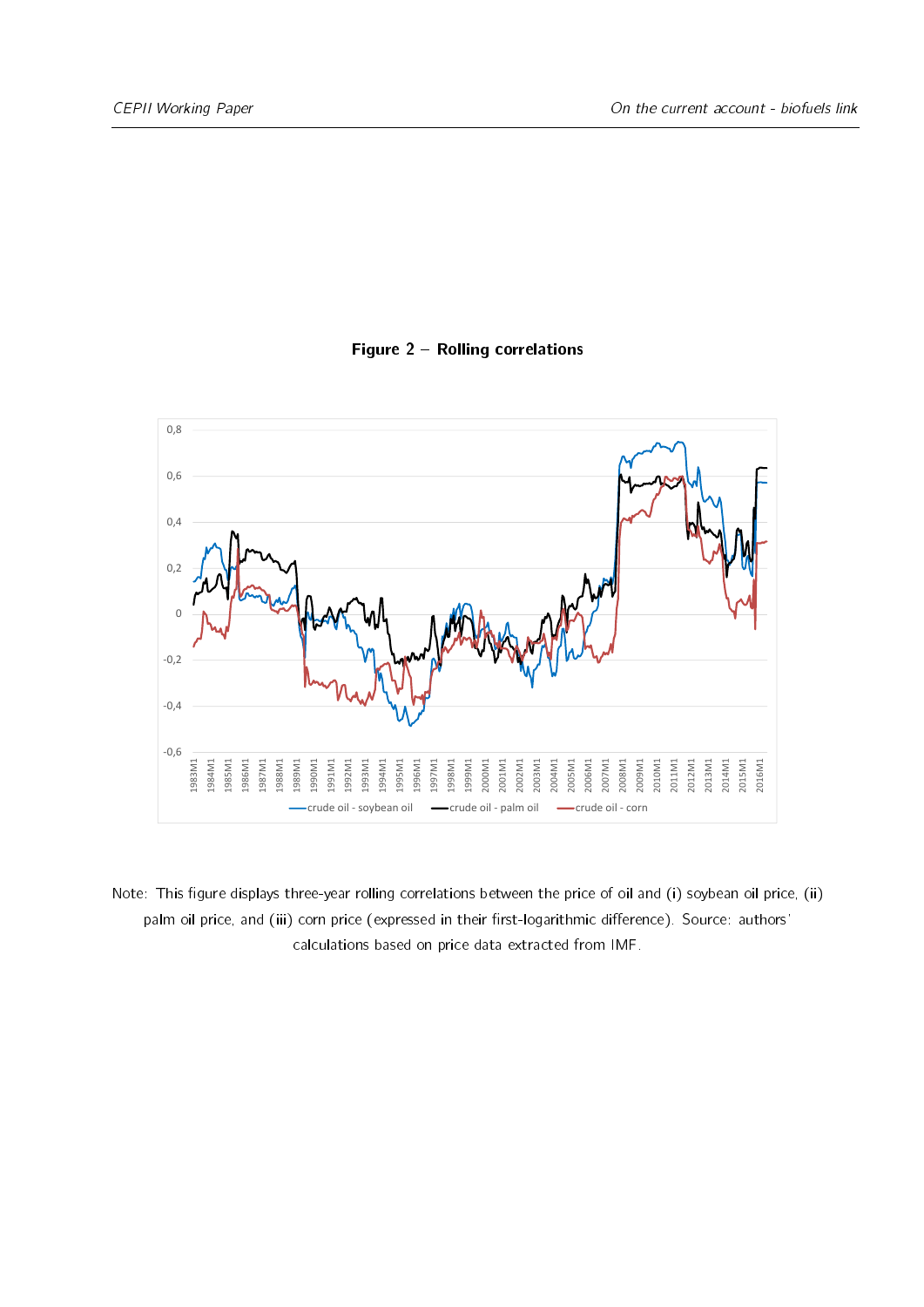<span id="page-8-0"></span>

#### Figure 2 - Rolling correlations

Note: This figure displays three-year rolling correlations between the price of oil and (i) soybean oil price, (ii) palm oil price, and (iii) corn price (expressed in their first-logarithmic difference). Source: authors' calculations based on price data extracted from IMF.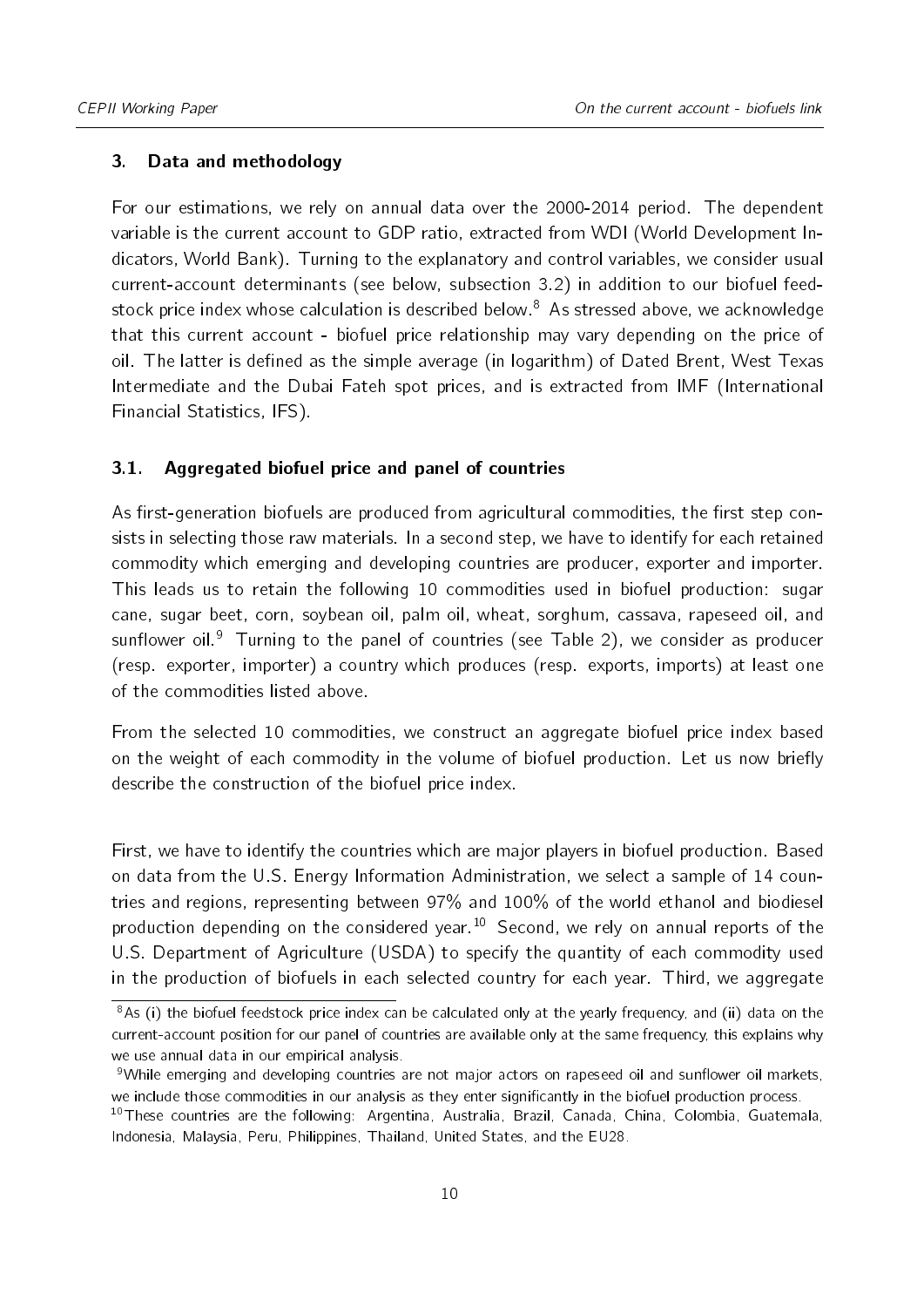#### <span id="page-9-0"></span>3. Data and methodology

For our estimations, we rely on annual data over the 2000-2014 period. The dependent variable is the current account to GDP ratio, extracted from WDI (World Development Indicators, World Bank). Turning to the explanatory and control variables, we consider usual current-account determinants (see below, subsection [3.2\)](#page-10-0) in addition to our biofuel feed-stock price index whose calculation is described below.<sup>[8](#page-9-1)</sup> As stressed above, we acknowledge that this current account - biofuel price relationship may vary depending on the price of oil. The latter is defined as the simple average (in logarithm) of Dated Brent, West Texas Intermediate and the Dubai Fateh spot prices, and is extracted from IMF (International Financial Statistics, IFS).

#### 3.1. Aggregated biofuel price and panel of countries

As first-generation biofuels are produced from agricultural commodities, the first step consists in selecting those raw materials. In a second step, we have to identify for each retained commodity which emerging and developing countries are producer, exporter and importer. This leads us to retain the following 10 commodities used in biofuel production: sugar cane, sugar beet, corn, soybean oil, palm oil, wheat, sorghum, cassava, rapeseed oil, and sunflower oil.<sup>[9](#page-9-2)</sup> Turning to the panel of countries (see Table [2\)](#page-10-1), we consider as producer (resp. exporter, importer) a country which produces (resp. exports, imports) at least one of the commodities listed above.

From the selected 10 commodities, we construct an aggregate biofuel price index based on the weight of each commodity in the volume of biofuel production. Let us now briefly describe the construction of the biofuel price index.

First, we have to identify the countries which are major players in biofuel production. Based on data from the U.S. Energy Information Administration, we select a sample of 14 countries and regions, representing between 97% and 100% of the world ethanol and biodiesel production depending on the considered year.[10](#page-9-3) Second, we rely on annual reports of the U.S. Department of Agriculture (USDA) to specify the quantity of each commodity used in the production of biofuels in each selected country for each year. Third, we aggregate

<span id="page-9-1"></span> $8$ As (i) the biofuel feedstock price index can be calculated only at the yearly frequency, and (ii) data on the current-account position for our panel of countries are available only at the same frequency, this explains why we use annual data in our empirical analysis.

<span id="page-9-2"></span><sup>&</sup>lt;sup>9</sup>While emerging and developing countries are not major actors on rapeseed oil and sunflower oil markets, we include those commodities in our analysis as they enter significantly in the biofuel production process.

<span id="page-9-3"></span><sup>&</sup>lt;sup>10</sup>These countries are the following: Argentina, Australia, Brazil, Canada, China, Colombia, Guatemala, Indonesia, Malaysia, Peru, Philippines, Thailand, United States, and the EU28.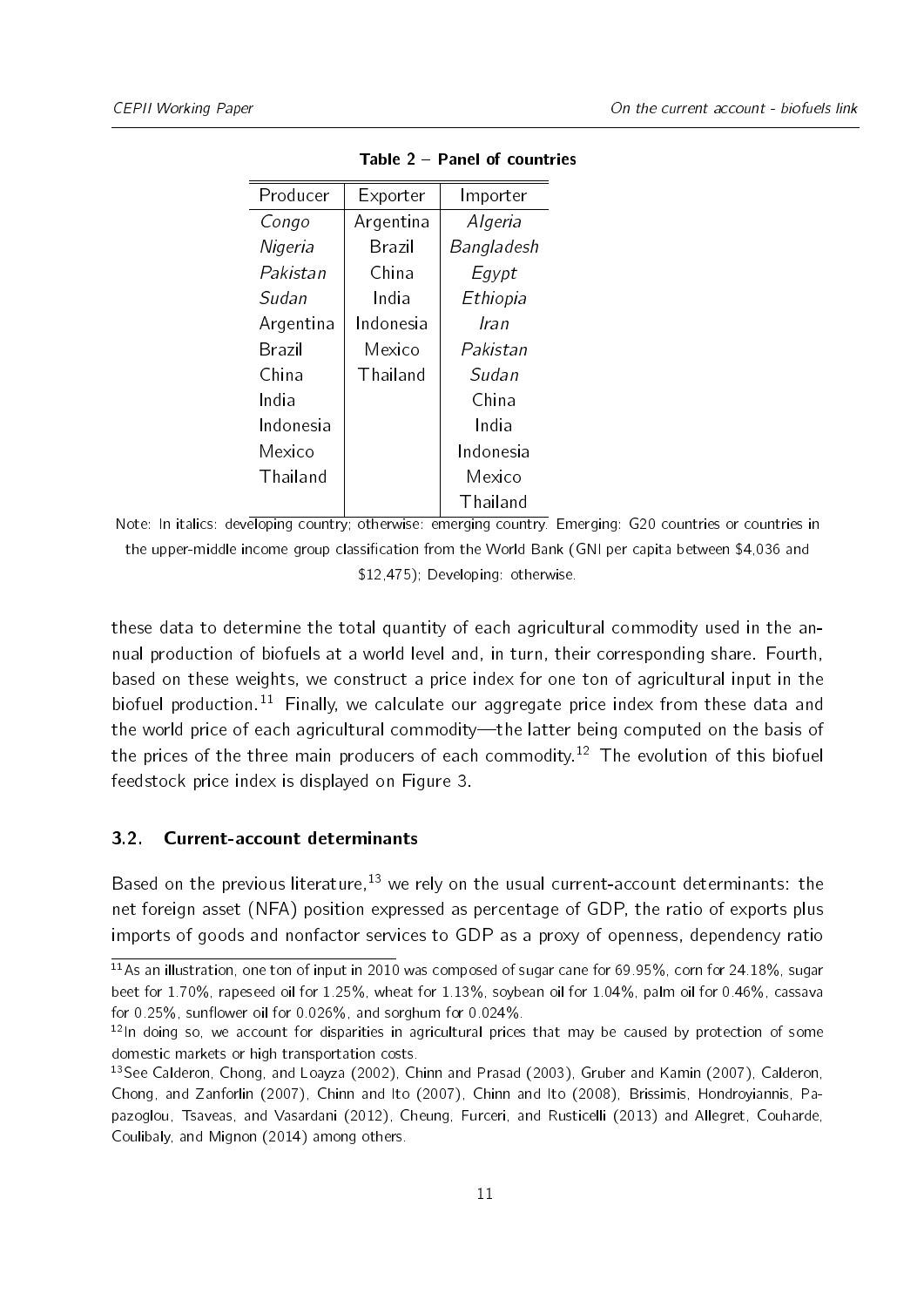<span id="page-10-1"></span>

| Producer  | Exporter      | Importer   |
|-----------|---------------|------------|
| Congo     | Argentina     | Algeria    |
| Nigeria   | <b>Brazil</b> | Bangladesh |
| Pakistan  | China         | Egypt      |
| Sudan     | India         | Ethiopia   |
| Argentina | Indonesia     | Iran       |
| Brazil    | Mexico        | Pakistan   |
| China     | Thailand      | Sudan      |
| India     |               | China      |
| Indonesia |               | India      |
| Mexico    |               | Indonesia  |
| Thailand  |               | Mexico     |
|           |               | Thailand   |

Table 2 Panel of countries

Note: In italics: developing country; otherwise: emerging country. Emerging: G20 countries or countries in the upper-middle income group classification from the World Bank (GNI per capita between \$4,036 and \$12,475); Developing: otherwise.

these data to determine the total quantity of each agricultural commodity used in the annual production of biofuels at a world level and, in turn, their corresponding share. Fourth, based on these weights, we construct a price index for one ton of agricultural input in the biofuel production.<sup>[11](#page-10-2)</sup> Finally, we calculate our aggregate price index from these data and the world price of each agricultural commodity—the latter being computed on the basis of the prices of the three main producers of each commodity.<sup>[12](#page-10-3)</sup> The evolution of this biofuel feedstock price index is displayed on Figure [3.](#page-11-0)

#### <span id="page-10-0"></span>3.2. Current-account determinants

Based on the previous literature,  $13$  we rely on the usual current-account determinants: the net foreign asset (NFA) position expressed as percentage of GDP, the ratio of exports plus imports of goods and nonfactor services to GDP as a proxy of openness, dependency ratio

<span id="page-10-2"></span><sup>11</sup>As an illustration, one ton of input in 2010 was composed of sugar cane for 69.95%, corn for 24.18%, sugar beet for 1.70%, rapeseed oil for 1.25%, wheat for 1.13%, soybean oil for 1.04%, palm oil for 0.46%, cassava for  $0.25\%$ , sunflower oil for  $0.026\%$ , and sorghum for  $0.024\%$ .

<span id="page-10-3"></span> $12$ In doing so, we account for disparities in agricultural prices that may be caused by protection of some domestic markets or high transportation costs.

<span id="page-10-4"></span><sup>&</sup>lt;sup>13</sup>See [Calderon, Chong, and Loayza](#page-20-7) [\(2002\)](#page-20-7), [Chinn and Prasad](#page-20-8) [\(2003\)](#page-20-8), [Gruber and Kamin](#page-21-9) [\(2007\)](#page-21-9), [Calderon,](#page-20-9) [Chong, and Zanforlin](#page-20-9) [\(2007\)](#page-20-9), [Chinn and Ito](#page-20-10) [\(2007\)](#page-20-10), [Chinn and Ito](#page-20-11) [\(2008\)](#page-20-11), [Brissimis, Hondroyiannis, Pa](#page-20-12)[pazoglou, Tsaveas, and Vasardani](#page-20-12) [\(2012\)](#page-20-12), [Cheung, Furceri, and Rusticelli](#page-20-13) [\(2013\)](#page-20-13) and [Allegret, Couharde,](#page-20-0) [Coulibaly, and Mignon](#page-20-0) [\(2014\)](#page-20-0) among others.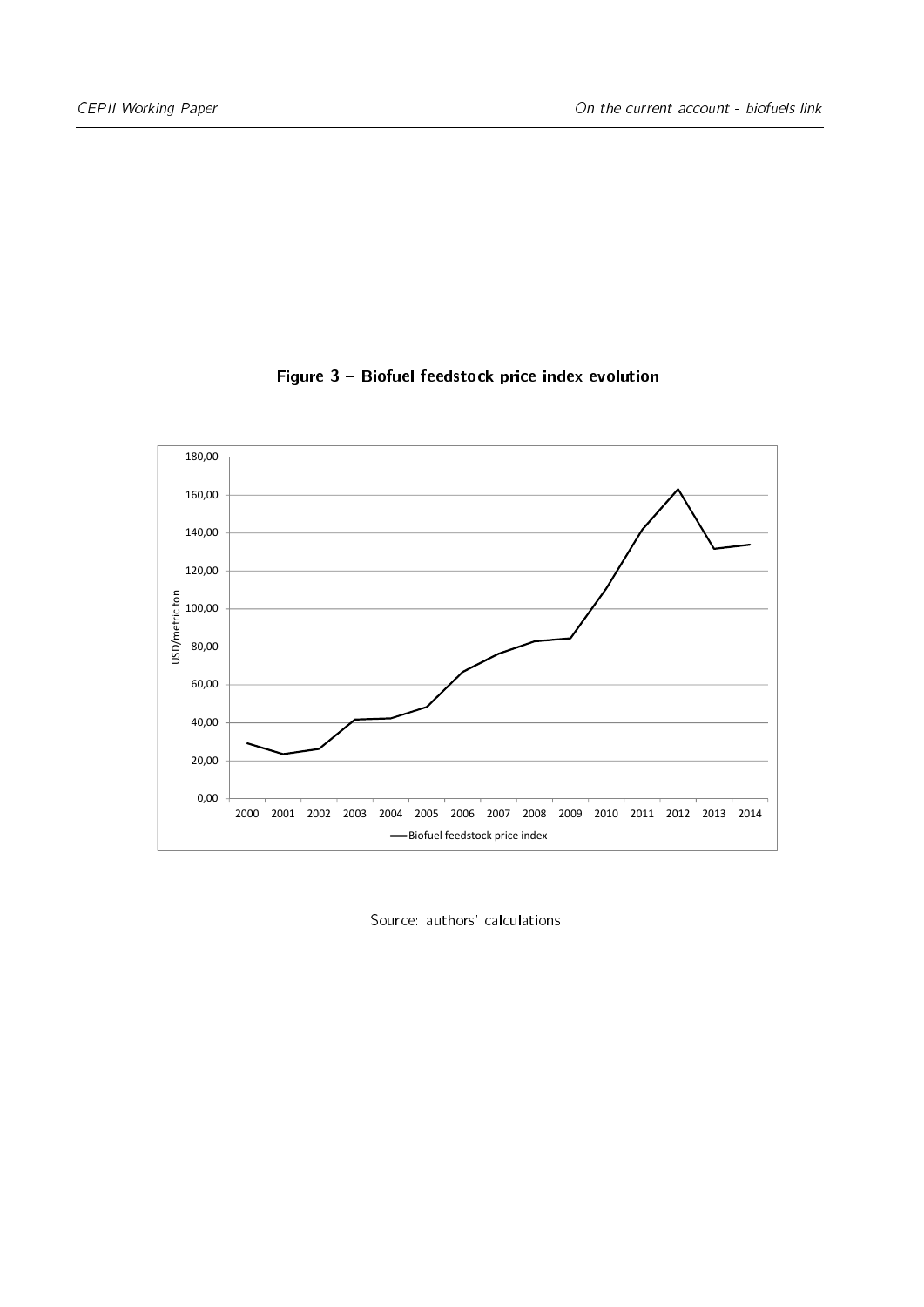<span id="page-11-0"></span>

#### Figure 3 - Biofuel feedstock price index evolution

Source: authors' calculations.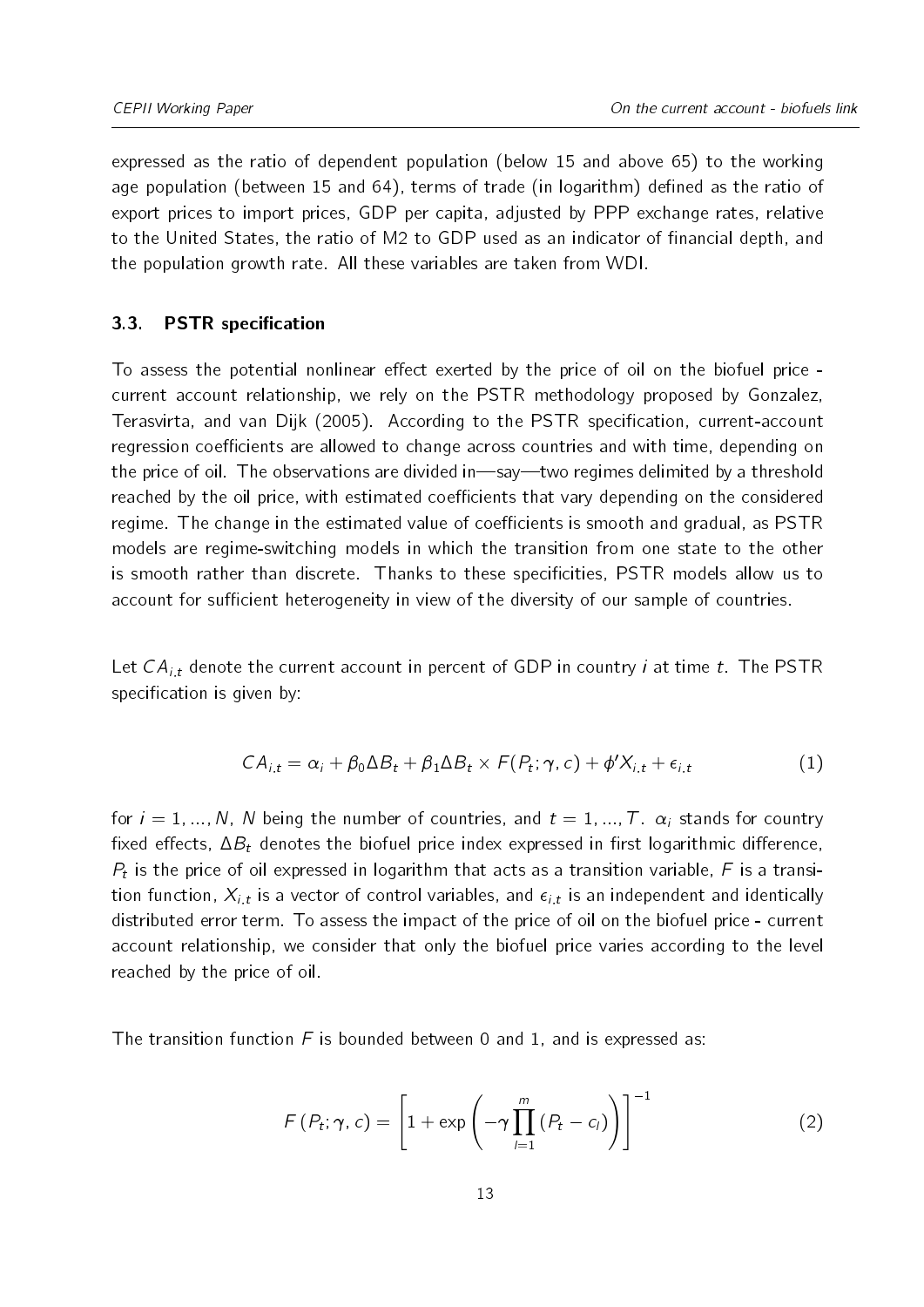expressed as the ratio of dependent population (below 15 and above 65) to the working age population (between 15 and 64), terms of trade (in logarithm) defined as the ratio of export prices to import prices, GDP per capita, adjusted by PPP exchange rates, relative to the United States, the ratio of M2 to GDP used as an indicator of financial depth, and the population growth rate. All these variables are taken from WDI.

#### 3.3. PSTR specification

To assess the potential nonlinear effect exerted by the price of oil on the biofuel price current account relationship, we rely on the PSTR methodology proposed by [Gonzalez,](#page-21-10) [Terasvirta, and van Dijk](#page-21-10) [\(2005\)](#page-21-10). According to the PSTR specification, current-account regression coefficients are allowed to change across countries and with time, depending on the price of oil. The observations are divided in—say—two regimes delimited by a threshold reached by the oil price, with estimated coefficients that vary depending on the considered regime. The change in the estimated value of coefficients is smooth and gradual, as PSTR models are regime-switching models in which the transition from one state to the other is smooth rather than discrete. Thanks to these specicities, PSTR models allow us to account for sufficient heterogeneity in view of the diversity of our sample of countries.

<span id="page-12-0"></span>Let  $CA_{i,t}$  denote the current account in percent of GDP in country *i* at time *t*. The PSTR specification is given by:

$$
CA_{i,t} = \alpha_i + \beta_0 \Delta B_t + \beta_1 \Delta B_t \times F(P_t; \gamma, c) + \phi' X_{i,t} + \epsilon_{i,t}
$$
\n
$$
\tag{1}
$$

for  $i = 1, ..., N$ , N being the number of countries, and  $t = 1, ..., T$ .  $\alpha_i$  stands for country fixed effects,  $\Delta B_t$  denotes the biofuel price index expressed in first logarithmic difference,  $P_t$  is the price of oil expressed in logarithm that acts as a transition variable, F is a transition function,  $X_{i,t}$  is a vector of control variables, and  $\epsilon_{i,t}$  is an independent and identically distributed error term. To assess the impact of the price of oil on the biofuel price - current account relationship, we consider that only the biofuel price varies according to the level reached by the price of oil.

The transition function  $F$  is bounded between 0 and 1, and is expressed as:

$$
F(P_t; \gamma, c) = \left[1 + \exp\left(-\gamma \prod_{l=1}^m (P_t - c_l)\right)\right]^{-1}
$$
 (2)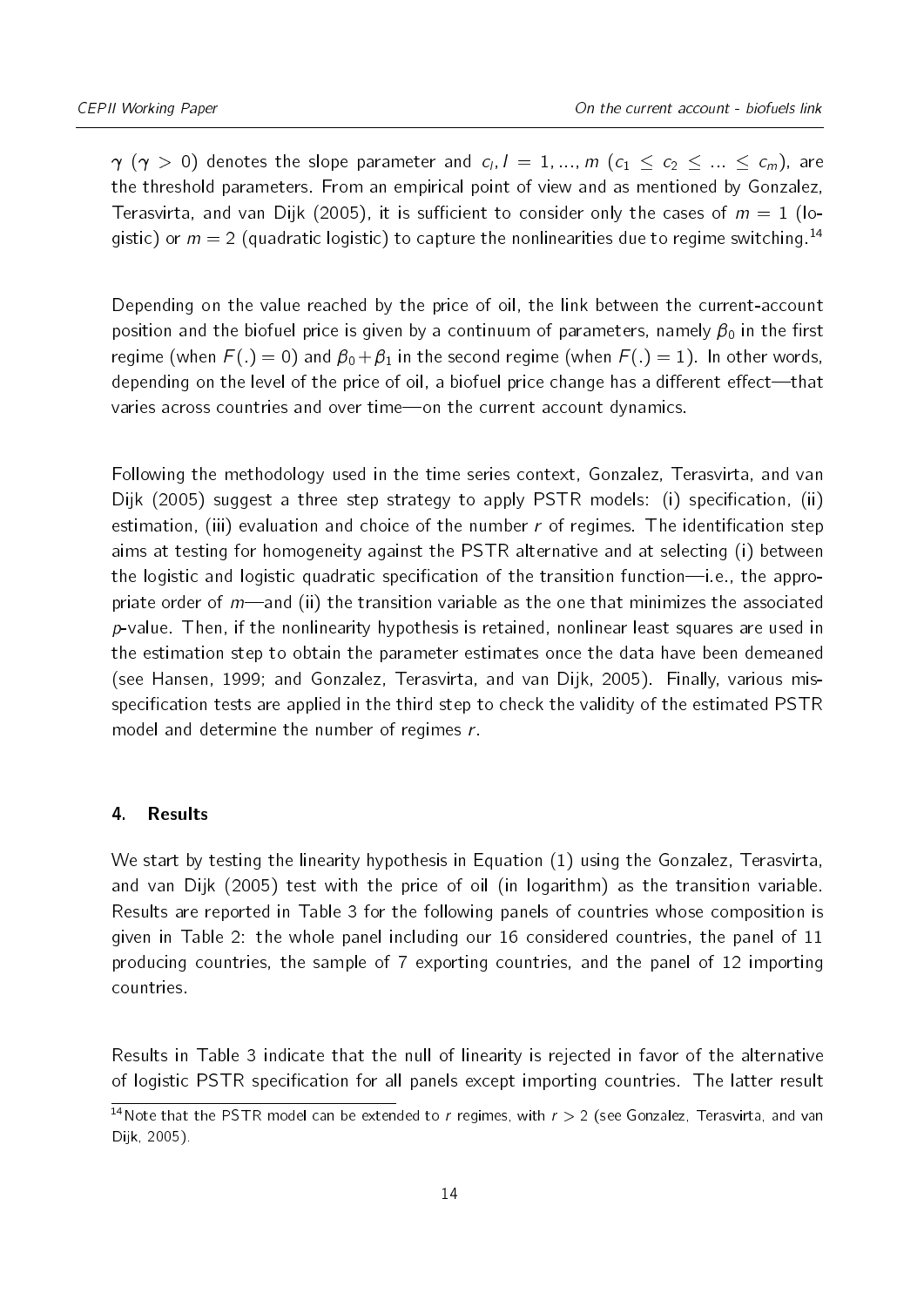$\gamma$   $(\gamma$   $>$   $0)$  denotes the slope parameter and  $c_l$ ,  $l$   $=$   $1,...,m$   $(c_1$   $\leq$   $c_2$   $\leq$   $...\leq$   $c_m)$ , are the threshold parameters. From an empirical point of view and as mentioned by [Gonzalez,](#page-21-10) [Terasvirta, and van Dijk](#page-21-10) [\(2005\)](#page-21-10), it is sufficient to consider only the cases of  $m = 1$  (logistic) or  $m = 2$  (quadratic logistic) to capture the nonlinearities due to regime switching.<sup>[14](#page-13-1)</sup>

Depending on the value reached by the price of oil, the link between the current-account position and the biofuel price is given by a continuum of parameters, namely  $\beta_0$  in the first regime (when  $F(.) = 0$ ) and  $\beta_0 + \beta_1$  in the second regime (when  $F(.) = 1$ ). In other words, depending on the level of the price of oil, a biofuel price change has a different effect—that varies across countries and over time-on the current account dynamics.

Following the methodology used in the time series context, [Gonzalez, Terasvirta, and van](#page-21-10) [Dijk](#page-21-10) [\(2005\)](#page-21-10) suggest a three step strategy to apply PSTR models: (i) specification, (ii) estimation, (iii) evaluation and choice of the number  $r$  of regimes. The identification step aims at testing for homogeneity against the PSTR alternative and at selecting (i) between the logistic and logistic quadratic specification of the transition function—i.e., the appropriate order of  $m$ —and (ii) the transition variable as the one that minimizes the associated  $p$ -value. Then, if the nonlinearity hypothesis is retained, nonlinear least squares are used in the estimation step to obtain the parameter estimates once the data have been demeaned (see [Hansen,](#page-21-11) [1999;](#page-21-11) and [Gonzalez, Terasvirta, and van Dijk,](#page-21-10) [2005\)](#page-21-10). Finally, various misspecification tests are applied in the third step to check the validity of the estimated PSTR model and determine the number of regimes r.

#### <span id="page-13-0"></span>4. Results

We start by testing the linearity hypothesis in Equation [\(1\)](#page-12-0) using the [Gonzalez, Terasvirta,](#page-21-10) [and van Dijk](#page-21-10) [\(2005\)](#page-21-10) test with the price of oil (in logarithm) as the transition variable. Results are reported in Table [3](#page-14-0) for the following panels of countries whose composition is given in Table [2:](#page-10-1) the whole panel including our 16 considered countries, the panel of 11 producing countries, the sample of 7 exporting countries, and the panel of 12 importing countries.

Results in Table [3](#page-14-0) indicate that the null of linearity is rejected in favor of the alternative of logistic PSTR specification for all panels except importing countries. The latter result

<span id="page-13-1"></span><sup>&</sup>lt;sup>14</sup>Note that the PSTR model can be extended to r regimes, with  $r > 2$  (see [Gonzalez, Terasvirta, and van](#page-21-10) [Dijk,](#page-21-10) [2005\)](#page-21-10).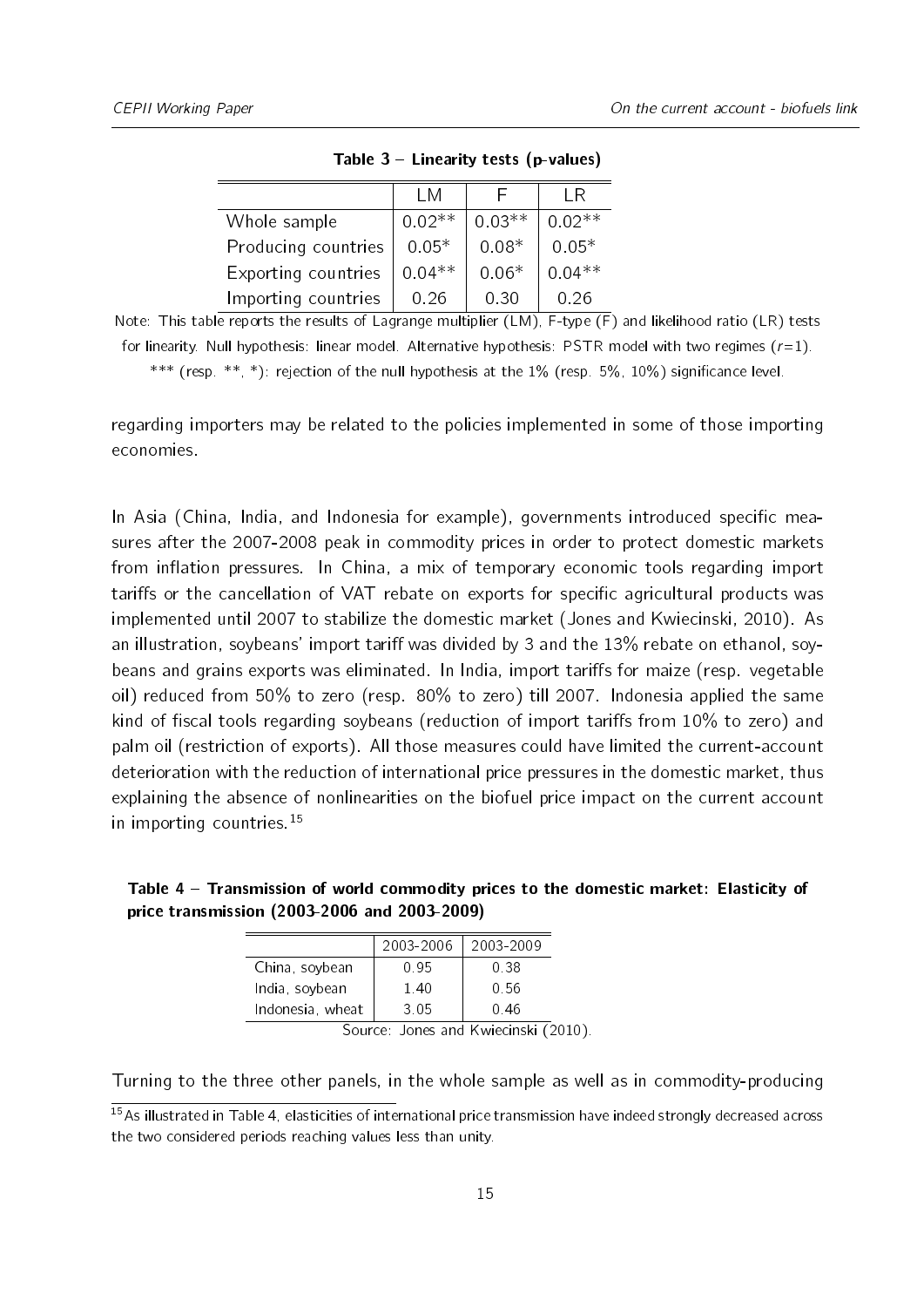<span id="page-14-0"></span>

|                     | T M      |          | IR.      |
|---------------------|----------|----------|----------|
| Whole sample        | $0.02**$ | $0.03**$ | $0.02**$ |
| Producing countries | $0.05*$  | $0.08*$  | $0.05*$  |
| Exporting countries | $0.04**$ | $0.06*$  | $0.04**$ |
| Importing countries | 0.26     | 0.30     | በ 26     |

Table  $3$  – Linearity tests (p-values)

Note: This table reports the results of Lagrange multiplier (LM), F-type (F) and likelihood ratio (LR) tests for linearity. Null hypothesis: linear model. Alternative hypothesis: PSTR model with two regimes  $(r=1)$ .

\*\*\* (resp. \*\*, \*): rejection of the null hypothesis at the  $1\%$  (resp. 5%,  $10\%$ ) significance level.

regarding importers may be related to the policies implemented in some of those importing economies.

In Asia (China, India, and Indonesia for example), governments introduced specific measures after the 2007-2008 peak in commodity prices in order to protect domestic markets from inflation pressures. In China, a mix of temporary economic tools regarding import tariffs or the cancellation of VAT rebate on exports for specific agricultural products was implemented until 2007 to stabilize the domestic market [\(Jones and Kwiecinski,](#page-21-12) [2010\)](#page-21-12). As an illustration, soybeans' import tariff was divided by 3 and the  $13\%$  rebate on ethanol, soybeans and grains exports was eliminated. In India, import tariffs for maize (resp. vegetable oil) reduced from 50% to zero (resp. 80% to zero) till 2007. Indonesia applied the same kind of fiscal tools regarding soybeans (reduction of import tariffs from  $10\%$  to zero) and palm oil (restriction of exports). All those measures could have limited the current-account deterioration with the reduction of international price pressures in the domestic market, thus explaining the absence of nonlinearities on the biofuel price impact on the current account in importing countries.<sup>[15](#page-14-1)</sup>

<span id="page-14-2"></span>

| Table 4 – Transmission of world commodity prices to the domestic market: Elasticity of |  |
|----------------------------------------------------------------------------------------|--|
| price transmission (2003-2006 and 2003-2009)                                           |  |

|                  | 2003-2006 | 2003-2009 |  |  |
|------------------|-----------|-----------|--|--|
| China, soybean   | 0.95      | 0.38      |  |  |
| India, soybean   | 140       | 0.56      |  |  |
| Indonesia, wheat | 3 0 5     | 0.46      |  |  |
|                  |           |           |  |  |

Source: [Jones and Kwiecinski](#page-21-12) [\(2010\)](#page-21-12).

Turning to the three other panels, in the whole sample as well as in commodity-producing

<span id="page-14-1"></span> $15As$  illustrated in Table [4,](#page-14-2) elasticities of international price transmission have indeed strongly decreased across the two considered periods reaching values less than unity.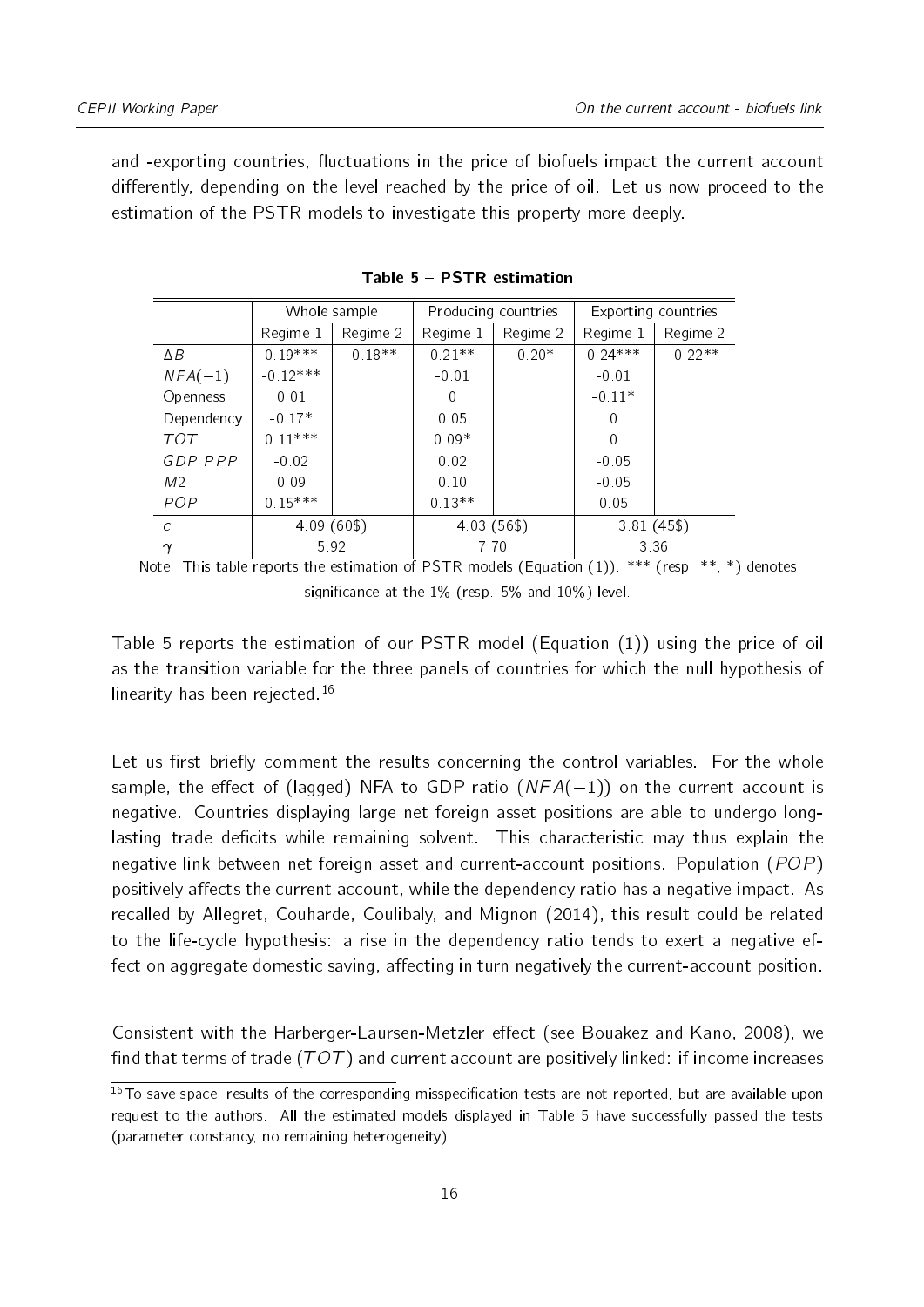and -exporting countries, fluctuations in the price of biofuels impact the current account differently, depending on the level reached by the price of oil. Let us now proceed to the estimation of the PSTR models to investigate this property more deeply.

<span id="page-15-0"></span>

|            | Whole sample |           | Producing countries |          | Exporting countries |           |
|------------|--------------|-----------|---------------------|----------|---------------------|-----------|
|            | Regime 1     | Regime 2  | Regime 1            | Regime 2 | Regime 1            | Regime 2  |
| ΔB         | $0.19***$    | $-0.18**$ | $0.21**$            | $-0.20*$ | $0.24***$           | $-0.22**$ |
| $NFA(-1)$  | $-0.12***$   |           | $-0.01$             |          | $-0.01$             |           |
| Openness   | 0.01         |           | 0                   |          | $-0.11*$            |           |
| Dependency | $-0.17*$     |           | 0.05                |          | 0                   |           |
| TOT        | $0.11***$    |           | $0.09*$             |          | ∩                   |           |
| GDP PPP    | $-0.02$      |           | 0.02                |          | $-0.05$             |           |
| M2         | 0.09         |           | 0.10                |          | $-0.05$             |           |
| <b>POP</b> | $0.15***$    |           | $0.13**$            |          | 0.05                |           |
| $\epsilon$ | 4.09(60\$)   |           | 4.03(56\$)          |          | $3.81(45\$          |           |
| $\gamma$   | 5.92         |           | 7.70                |          | 3.36                |           |

Table 5 PSTR estimation

Note: This table reports the estimation of PSTR models (Equation  $(1)$ ). \*\*\* (resp. \*\*, \*) denotes significance at the  $1\%$  (resp. 5% and  $10\%$ ) level.

Table [5](#page-15-0) reports the estimation of our PSTR model (Equation [\(1\)](#page-12-0)) using the price of oil as the transition variable for the three panels of countries for which the null hypothesis of linearity has been rejected.<sup>[16](#page-15-1)</sup>

Let us first briefly comment the results concerning the control variables. For the whole sample, the effect of (lagged) NFA to GDP ratio  $(NFA(-1))$  on the current account is negative. Countries displaying large net foreign asset positions are able to undergo longlasting trade deficits while remaining solvent. This characteristic may thus explain the negative link between net foreign asset and current-account positions. Population (POP) positively affects the current account, while the dependency ratio has a negative impact. As recalled by [Allegret, Couharde, Coulibaly, and Mignon](#page-20-0) [\(2014\)](#page-20-0), this result could be related to the life-cycle hypothesis: a rise in the dependency ratio tends to exert a negative effect on aggregate domestic saving, affecting in turn negatively the current-account position.

Consistent with the Harberger-Laursen-Metzler effect (see [Bouakez and Kano,](#page-20-14) [2008\)](#page-20-14), we find that terms of trade ( $TOT$ ) and current account are positively linked: if income increases

<span id="page-15-1"></span><sup>&</sup>lt;sup>16</sup>To save space, results of the corresponding misspecification tests are not reported, but are available upon request to the authors. All the estimated models displayed in Table [5](#page-15-0) have successfully passed the tests (parameter constancy, no remaining heterogeneity).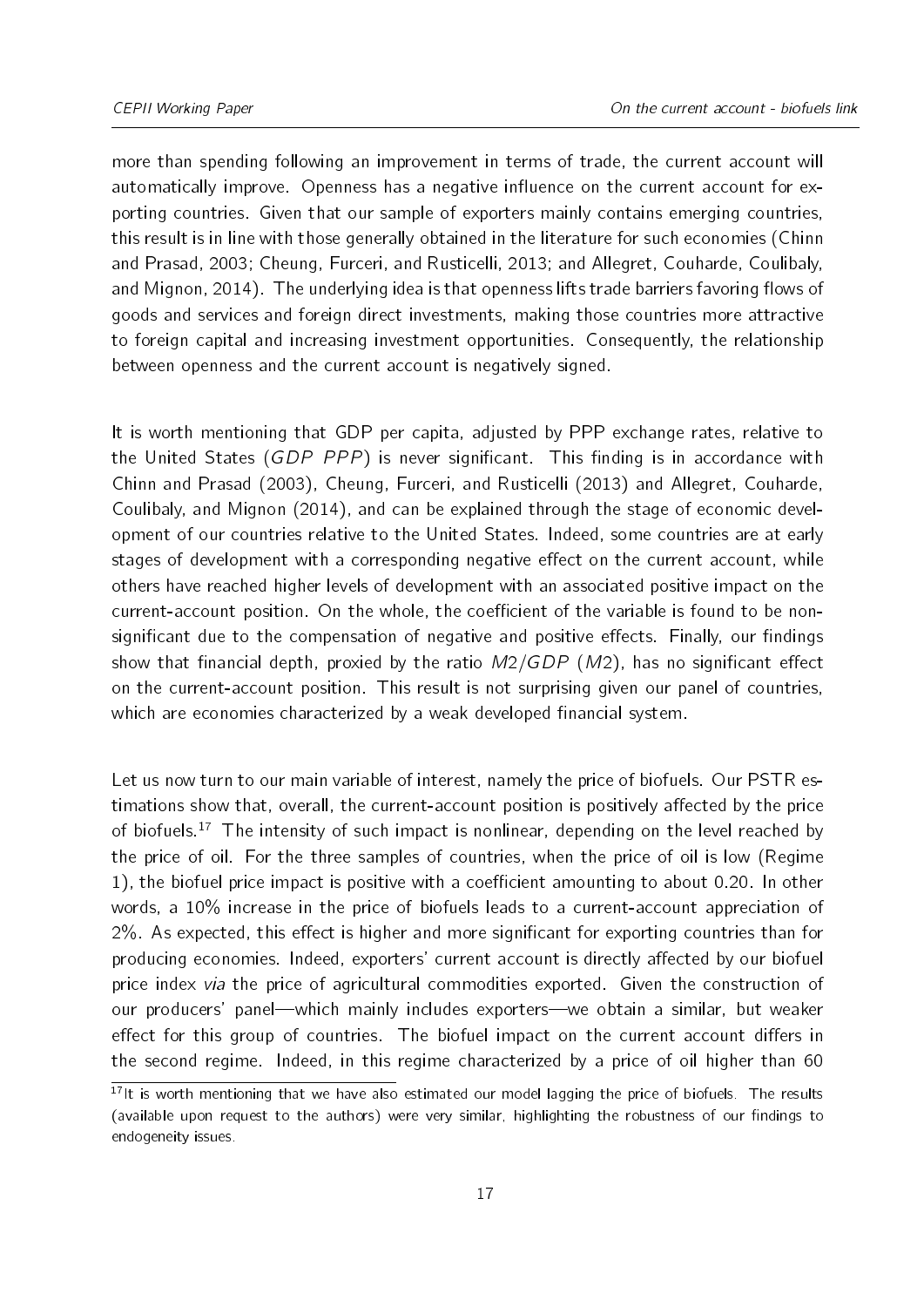more than spending following an improvement in terms of trade, the current account will automatically improve. Openness has a negative influence on the current account for exporting countries. Given that our sample of exporters mainly contains emerging countries, this result is in line with those generally obtained in the literature for such economies [\(Chinn](#page-20-8) [and Prasad,](#page-20-8) [2003;](#page-20-8) [Cheung, Furceri, and Rusticelli,](#page-20-13) [2013;](#page-20-13) and [Allegret, Couharde, Coulibaly,](#page-20-0) [and Mignon,](#page-20-0) [2014\)](#page-20-0). The underlying idea is that openness lifts trade barriers favoring flows of goods and services and foreign direct investments, making those countries more attractive to foreign capital and increasing investment opportunities. Consequently, the relationship between openness and the current account is negatively signed.

It is worth mentioning that GDP per capita, adjusted by PPP exchange rates, relative to the United States (GDP PPP) is never significant. This finding is in accordance with [Chinn and Prasad](#page-20-8) [\(2003\)](#page-20-8), [Cheung, Furceri, and Rusticelli](#page-20-13) [\(2013\)](#page-20-13) and [Allegret, Couharde,](#page-20-0) [Coulibaly, and Mignon](#page-20-0) [\(2014\)](#page-20-0), and can be explained through the stage of economic development of our countries relative to the United States. Indeed, some countries are at early stages of development with a corresponding negative effect on the current account, while others have reached higher levels of development with an associated positive impact on the current-account position. On the whole, the coefficient of the variable is found to be nonsignificant due to the compensation of negative and positive effects. Finally, our findings show that financial depth, proxied by the ratio  $M2/GDP$  (M2), has no significant effect on the current-account position. This result is not surprising given our panel of countries, which are economies characterized by a weak developed financial system.

Let us now turn to our main variable of interest, namely the price of biofuels. Our PSTR estimations show that, overall, the current-account position is positively affected by the price of biofuels.<sup>[17](#page-16-0)</sup> The intensity of such impact is nonlinear, depending on the level reached by the price of oil. For the three samples of countries, when the price of oil is low (Regime 1), the biofuel price impact is positive with a coefficient amounting to about  $0.20$ . In other words, a 10% increase in the price of biofuels leads to a current-account appreciation of  $2\%$ . As expected, this effect is higher and more significant for exporting countries than for producing economies. Indeed, exporters' current account is directly affected by our biofuel price index via the price of agricultural commodities exported. Given the construction of our producers' panel—which mainly includes exporters—we obtain a similar, but weaker effect for this group of countries. The biofuel impact on the current account differs in the second regime. Indeed, in this regime characterized by a price of oil higher than 60

<span id="page-16-0"></span> $17$ It is worth mentioning that we have also estimated our model lagging the price of biofuels. The results (available upon request to the authors) were very similar, highlighting the robustness of our findings to endogeneity issues.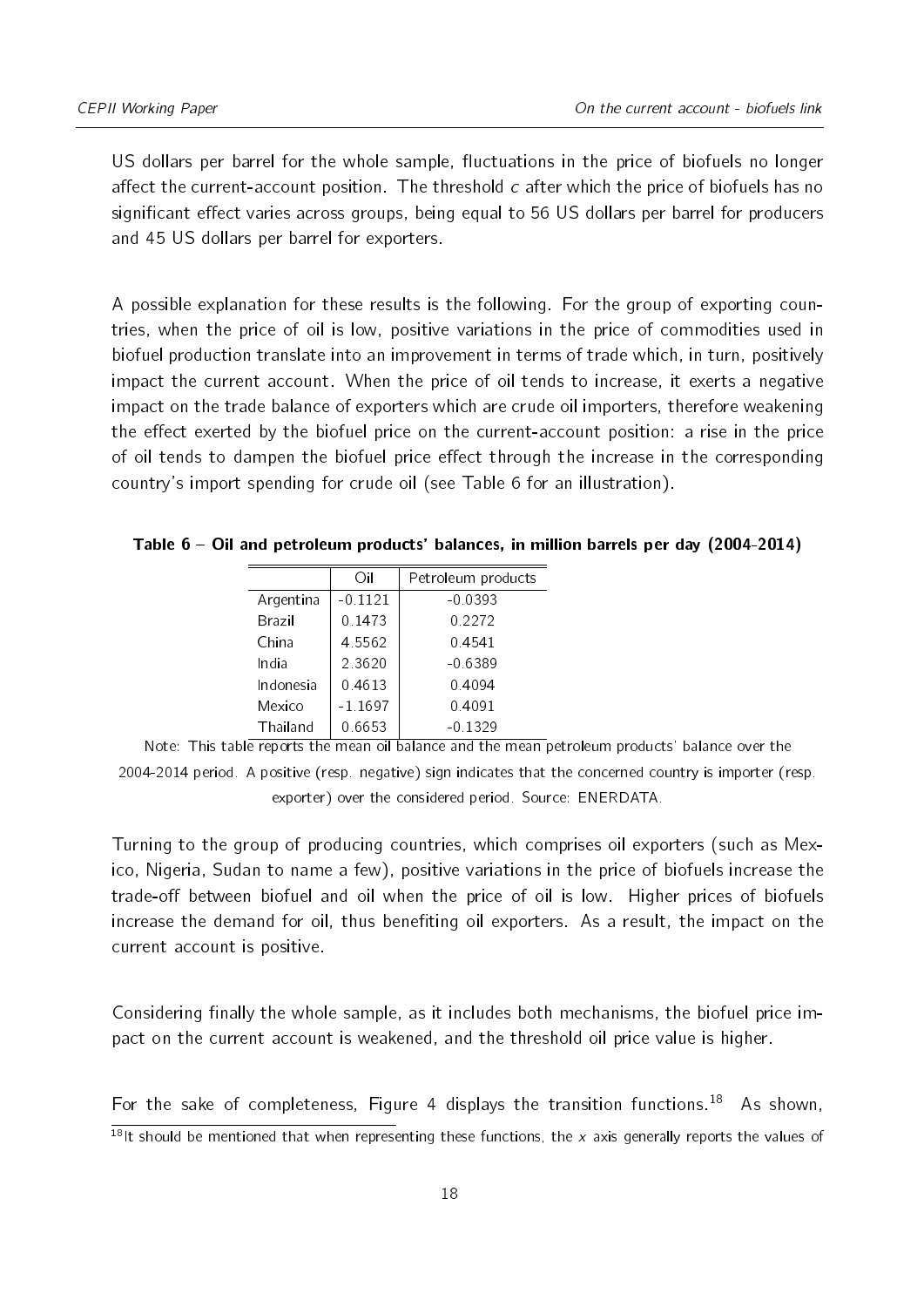US dollars per barrel for the whole sample, fluctuations in the price of biofuels no longer affect the current-account position. The threshold  $c$  after which the price of biofuels has no significant effect varies across groups, being equal to 56 US dollars per barrel for producers and 45 US dollars per barrel for exporters.

A possible explanation for these results is the following. For the group of exporting countries, when the price of oil is low, positive variations in the price of commodities used in biofuel production translate into an improvement in terms of trade which, in turn, positively impact the current account. When the price of oil tends to increase, it exerts a negative impact on the trade balance of exporters which are crude oil importers, therefore weakening the effect exerted by the biofuel price on the current-account position: a rise in the price of oil tends to dampen the biofuel price effect through the increase in the corresponding country's import spending for crude oil (see Table [6](#page-17-0) for an illustration).

<span id="page-17-0"></span>Table 6 Oil and petroleum products' balances, in million barrels per day (2004-2014)

|           | Ωil       | Petroleum products |
|-----------|-----------|--------------------|
| Argentina | $-0.1121$ | $-0.0393$          |
| Brazil    | 0 1473    | 0.2272             |
| China     | 4 5 5 6 2 | 0.4541             |
| India     | 2.3620    | $-0.6389$          |
| Indonesia | 0.4613    | 0.4094             |
| Mexico    | $-1.1697$ | 0.4091             |
| Thailand  | 0.6653    | $-0.1329$          |
|           |           |                    |

Note: This table reports the mean oil balance and the mean petroleum products' balance over the 2004-2014 period. A positive (resp. negative) sign indicates that the concerned country is importer (resp. exporter) over the considered period. Source: ENERDATA.

Turning to the group of producing countries, which comprises oil exporters (such as Mexico, Nigeria, Sudan to name a few), positive variations in the price of biofuels increase the trade-off between biofuel and oil when the price of oil is low. Higher prices of biofuels increase the demand for oil, thus benefiting oil exporters. As a result, the impact on the current account is positive.

Considering finally the whole sample, as it includes both mechanisms, the biofuel price impact on the current account is weakened, and the threshold oil price value is higher.

For the sake of completeness, Figure [4](#page-18-1) displays the transition functions.<sup>[18](#page-17-1)</sup> As shown,

<span id="page-17-1"></span> $\frac{18}{18}$ It should be mentioned that when representing these functions, the x axis generally reports the values of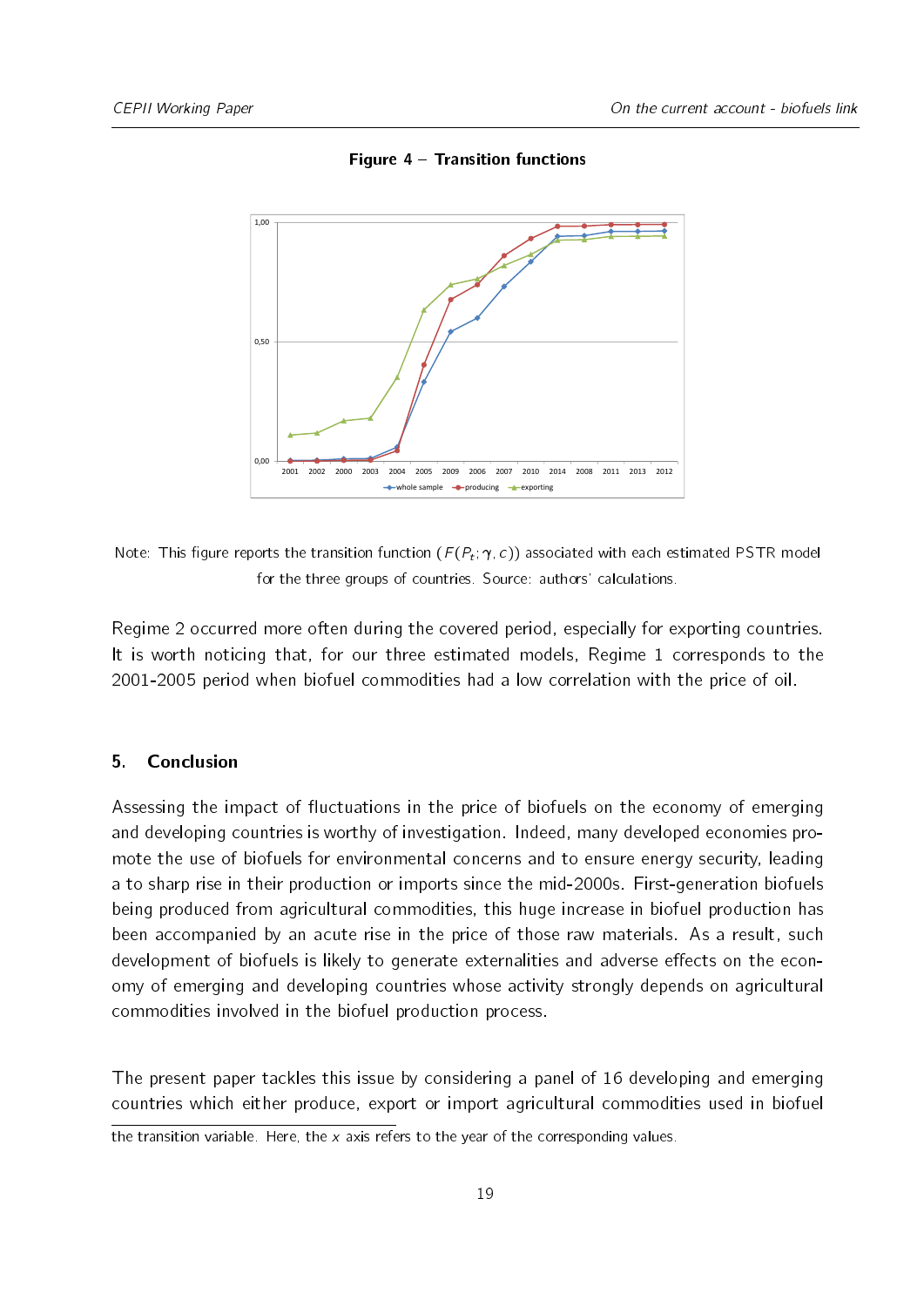<span id="page-18-1"></span>

Figure 4 - Transition functions

Note: This figure reports the transition function  $(F(P_t; \gamma, c))$  associated with each estimated PSTR model for the three groups of countries. Source: authors' calculations.

Regime 2 occurred more often during the covered period, especially for exporting countries. It is worth noticing that, for our three estimated models, Regime 1 corresponds to the 2001-2005 period when biofuel commodities had a low correlation with the price of oil.

#### <span id="page-18-0"></span>5. Conclusion

Assessing the impact of fluctuations in the price of biofuels on the economy of emerging and developing countries is worthy of investigation. Indeed, many developed economies promote the use of biofuels for environmental concerns and to ensure energy security, leading a to sharp rise in their production or imports since the mid-2000s. First-generation biofuels being produced from agricultural commodities, this huge increase in biofuel production has been accompanied by an acute rise in the price of those raw materials. As a result, such development of biofuels is likely to generate externalities and adverse effects on the economy of emerging and developing countries whose activity strongly depends on agricultural commodities involved in the biofuel production process.

The present paper tackles this issue by considering a panel of 16 developing and emerging countries which either produce, export or import agricultural commodities used in biofuel

the transition variable. Here, the x axis refers to the year of the corresponding values.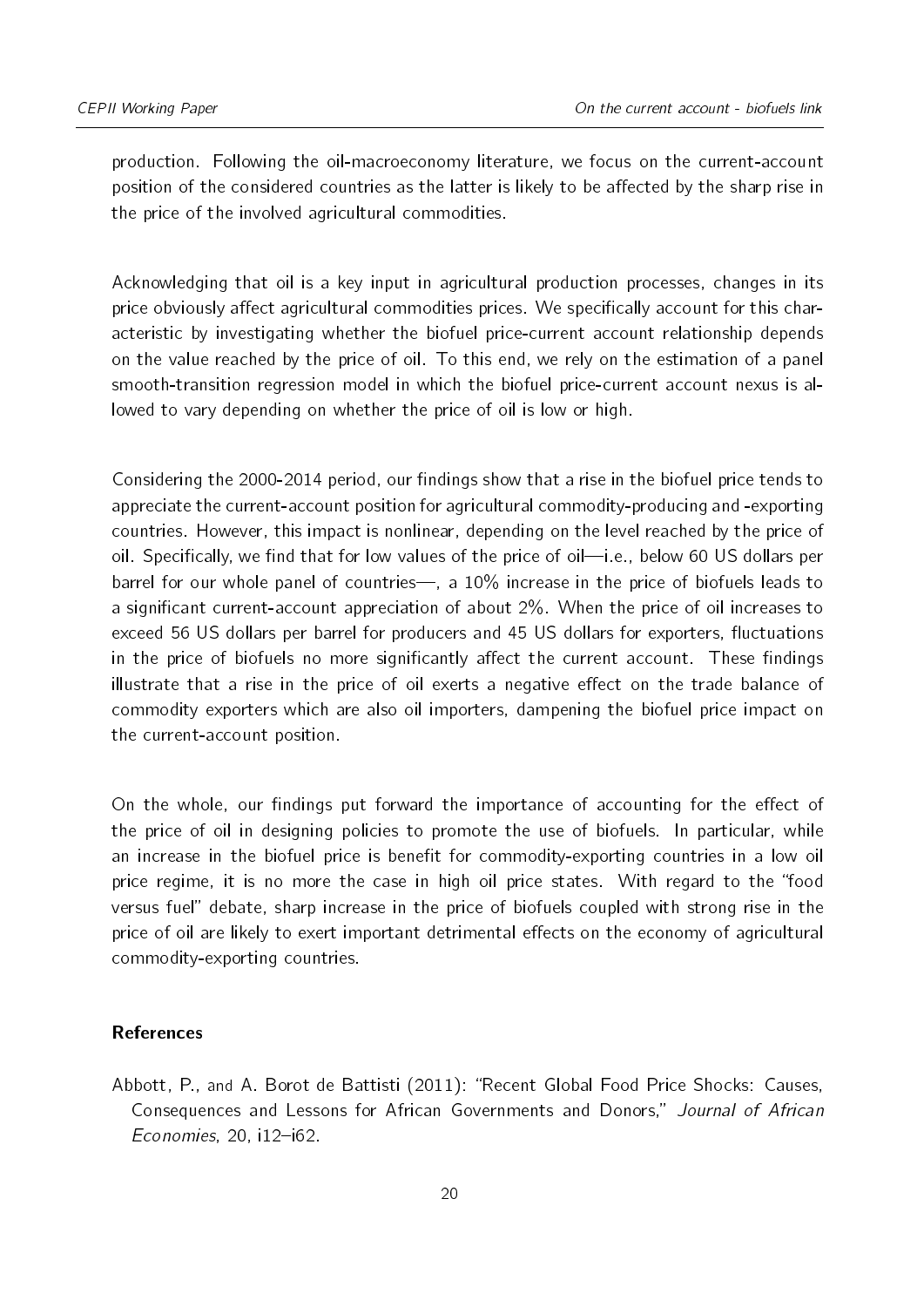production. Following the oil-macroeconomy literature, we focus on the current-account position of the considered countries as the latter is likely to be affected by the sharp rise in the price of the involved agricultural commodities.

Acknowledging that oil is a key input in agricultural production processes, changes in its price obviously affect agricultural commodities prices. We specifically account for this characteristic by investigating whether the biofuel price-current account relationship depends on the value reached by the price of oil. To this end, we rely on the estimation of a panel smooth-transition regression model in which the biofuel price-current account nexus is allowed to vary depending on whether the price of oil is low or high.

Considering the 2000-2014 period, our findings show that a rise in the biofuel price tends to appreciate the current-account position for agricultural commodity-producing and -exporting countries. However, this impact is nonlinear, depending on the level reached by the price of oil. Specifically, we find that for low values of the price of oil—i.e., below 60 US dollars per barrel for our whole panel of countries—, a  $10\%$  increase in the price of biofuels leads to a significant current-account appreciation of about 2%. When the price of oil increases to exceed 56 US dollars per barrel for producers and 45 US dollars for exporters, fluctuations in the price of biofuels no more significantly affect the current account. These findings illustrate that a rise in the price of oil exerts a negative effect on the trade balance of commodity exporters which are also oil importers, dampening the biofuel price impact on the current-account position.

On the whole, our findings put forward the importance of accounting for the effect of the price of oil in designing policies to promote the use of biofuels. In particular, while an increase in the biofuel price is benefit for commodity-exporting countries in a low oil price regime, it is no more the case in high oil price states. With regard to the "food versus fuel" debate, sharp increase in the price of biofuels coupled with strong rise in the price of oil are likely to exert important detrimental effects on the economy of agricultural commodity-exporting countries.

#### References

<span id="page-19-0"></span>Abbott, P., and A. Borot de Battisti (2011): "Recent Global Food Price Shocks: Causes, Consequences and Lessons for African Governments and Donors," Journal of African  $E$ conomies, 20, i $12$ -i62.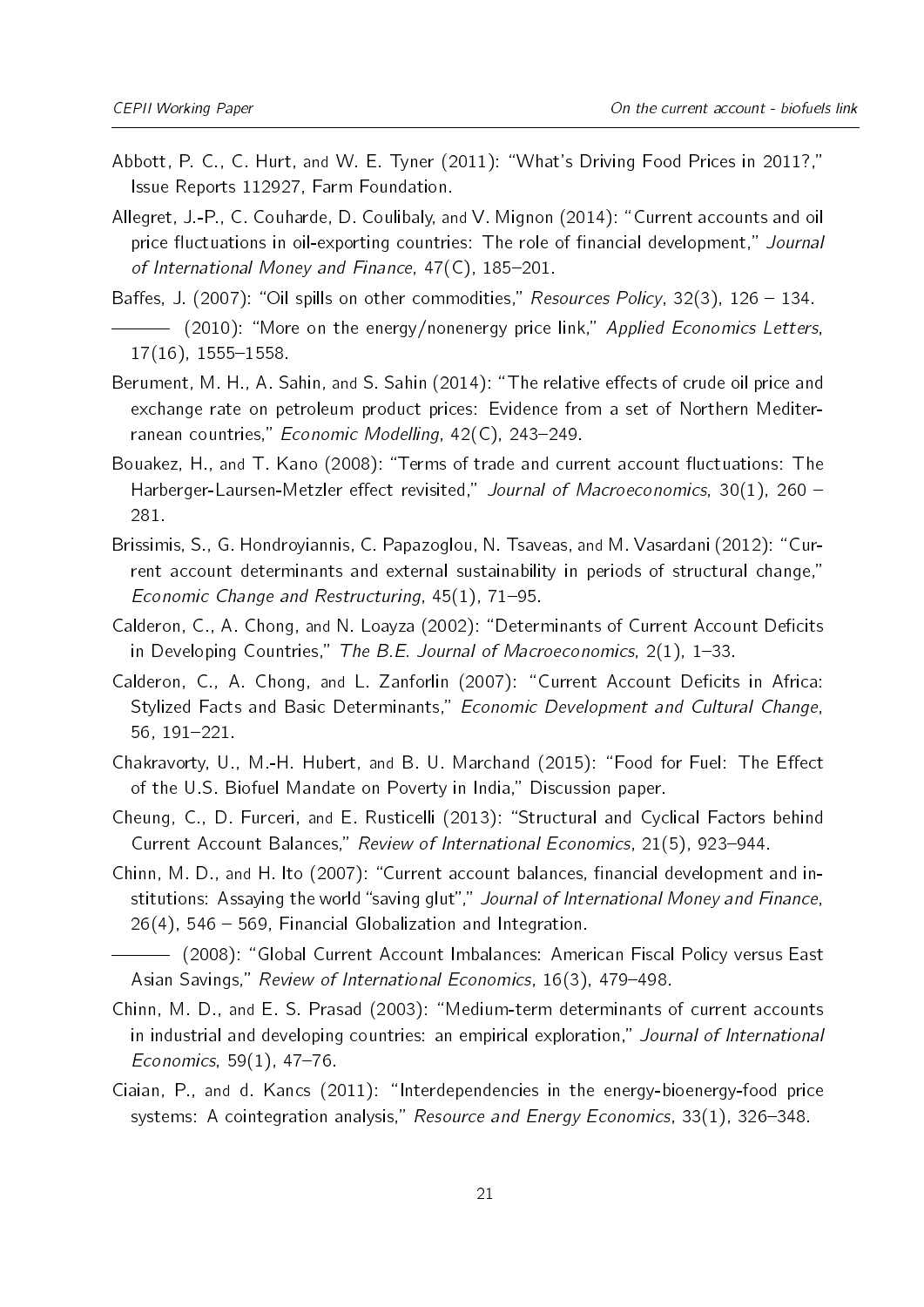- <span id="page-20-4"></span>Abbott, P. C., C. Hurt, and W. E. Tyner (2011): "What's Driving Food Prices in 2011?," Issue Reports 112927, Farm Foundation.
- <span id="page-20-0"></span>Allegret, J.-P., C. Couharde, D. Coulibaly, and V. Mignon (2014): "Current accounts and oil price fluctuations in oil-exporting countries: The role of financial development," Journal of International Money and Finance,  $47(C)$ ,  $185-201$ .
- <span id="page-20-2"></span><span id="page-20-1"></span>Baffes, J. (2007): "Oil spills on other commodities," Resources Policy, 32(3),  $126 - 134$ . (2010): "More on the energy/nonenergy price link," Applied Economics Letters,  $17(16)$ , 1555-1558.
- <span id="page-20-3"></span>Berument, M. H., A. Sahin, and S. Sahin (2014): "The relative effects of crude oil price and exchange rate on petroleum product prices: Evidence from a set of Northern Mediterranean countries," Economic Modelling,  $42(C)$ , 243-249.
- <span id="page-20-14"></span>Bouakez, H., and T. Kano (2008): "Terms of trade and current account fluctuations: The Harberger-Laursen-Metzler effect revisited," Journal of Macroeconomics, 30(1), 260 -281.
- <span id="page-20-12"></span>Brissimis, S., G. Hondroyiannis, C. Papazoglou, N. Tsaveas, and M. Vasardani (2012): "Current account determinants and external sustainability in periods of structural change, Economic Change and Restructuring,  $45(1)$ ,  $71-95$ .
- <span id="page-20-7"></span>Calderon, C., A. Chong, and N. Loayza (2002): "Determinants of Current Account Deficits in Developing Countries," The B.E. Journal of Macroeconomics,  $2(1)$ , 1-33.
- <span id="page-20-9"></span>Calderon, C., A. Chong, and L. Zanforlin (2007): "Current Account Deficits in Africa: Stylized Facts and Basic Determinants," Economic Development and Cultural Change, 56, 191221.
- <span id="page-20-6"></span>Chakravorty, U., M.-H. Hubert, and B. U. Marchand (2015): "Food for Fuel: The Effect of the U.S. Biofuel Mandate on Poverty in India," Discussion paper.
- <span id="page-20-13"></span>Cheung, C., D. Furceri, and E. Rusticelli (2013): "Structural and Cyclical Factors behind Current Account Balances," Review of International Economics, 21(5), 923-944.
- <span id="page-20-10"></span>Chinn, M. D., and H. Ito (2007): "Current account balances, financial development and institutions: Assaying the world "saving glut"," Journal of International Money and Finance,  $26(4)$ , 546  $-$  569, Financial Globalization and Integration.
- <span id="page-20-11"></span>(2008): Global Current Account Imbalances: American Fiscal Policy versus East Asian Savings," Review of International Economics, 16(3), 479-498.
- <span id="page-20-8"></span>Chinn, M. D., and E. S. Prasad (2003): "Medium-term determinants of current accounts in industrial and developing countries: an empirical exploration," Journal of International Economics,  $59(1)$ ,  $47-76$ .
- <span id="page-20-5"></span>Ciaian, P., and d. Kancs  $(2011)$ : "Interdependencies in the energy-bioenergy-food price systems: A cointegration analysis," Resource and Energy Economics,  $33(1)$ ,  $326-348$ .